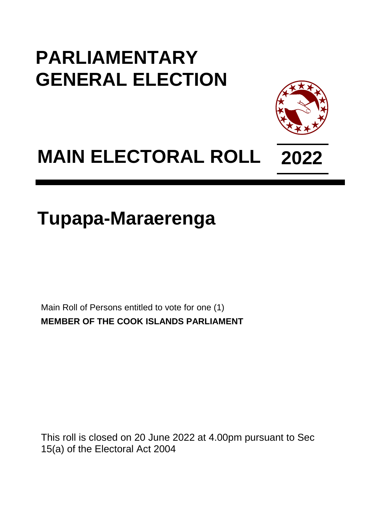## **PARLIAMENTARY GENERAL ELECTION**



# **MAIN ELECTORAL ROLL 2022**

## **Tupapa-Maraerenga**

Main Roll of Persons entitled to vote for one (1) **MEMBER OF THE COOK ISLANDS PARLIAMENT**

This roll is closed on 20 June 2022 at 4.00pm pursuant to Sec 15(a) of the Electoral Act 2004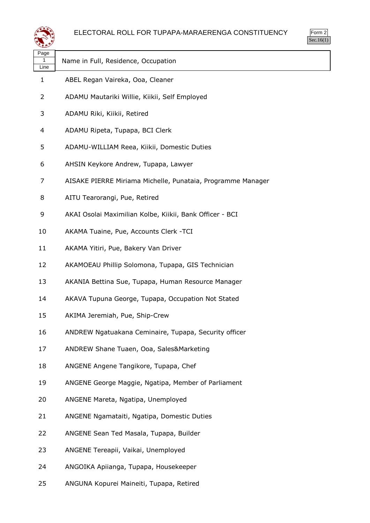

| પ∓≠У              |                                                             |
|-------------------|-------------------------------------------------------------|
| Page<br>1<br>Line | Name in Full, Residence, Occupation                         |
| 1                 | ABEL Regan Vaireka, Ooa, Cleaner                            |
| 2                 | ADAMU Mautariki Willie, Kiikii, Self Employed               |
| 3                 | ADAMU Riki, Kiikii, Retired                                 |
| 4                 | ADAMU Ripeta, Tupapa, BCI Clerk                             |
| 5                 | ADAMU-WILLIAM Reea, Kiikii, Domestic Duties                 |
| 6                 | AHSIN Keykore Andrew, Tupapa, Lawyer                        |
| 7                 | AISAKE PIERRE Miriama Michelle, Punataia, Programme Manager |
| 8                 | AITU Tearorangi, Pue, Retired                               |
| 9                 | AKAI Osolai Maximilian Kolbe, Kiikii, Bank Officer - BCI    |
| 10                | AKAMA Tuaine, Pue, Accounts Clerk -TCI                      |
| 11                | AKAMA Yitiri, Pue, Bakery Van Driver                        |
| 12                | AKAMOEAU Phillip Solomona, Tupapa, GIS Technician           |
| 13                | AKANIA Bettina Sue, Tupapa, Human Resource Manager          |
| 14                | AKAVA Tupuna George, Tupapa, Occupation Not Stated          |
| 15                | AKIMA Jeremiah, Pue, Ship-Crew                              |
| 16                | ANDREW Ngatuakana Ceminaire, Tupapa, Security officer       |
| 17                | ANDREW Shane Tuaen, Ooa, Sales&Marketing                    |
| 18                | ANGENE Angene Tangikore, Tupapa, Chef                       |
| 19                | ANGENE George Maggie, Ngatipa, Member of Parliament         |
| 20                | ANGENE Mareta, Ngatipa, Unemployed                          |
| 21                | ANGENE Ngamataiti, Ngatipa, Domestic Duties                 |
| 22                | ANGENE Sean Ted Masala, Tupapa, Builder                     |
| 23                | ANGENE Tereapii, Vaikai, Unemployed                         |
| 24                | ANGOIKA Apiianga, Tupapa, Housekeeper                       |
| 25                | ANGUNA Kopurei Maineiti, Tupapa, Retired                    |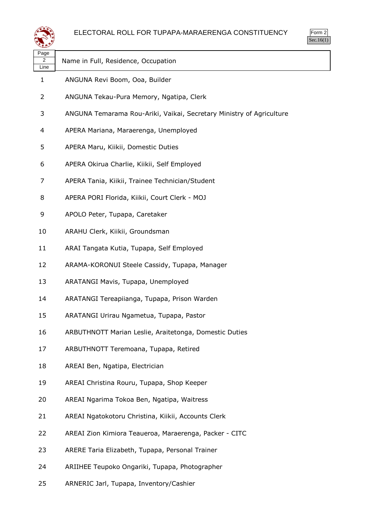



| ⋘                 |                                                                      |
|-------------------|----------------------------------------------------------------------|
| Page<br>2<br>Line | Name in Full, Residence, Occupation                                  |
| 1                 | ANGUNA Revi Boom, Ooa, Builder                                       |
| 2                 | ANGUNA Tekau-Pura Memory, Ngatipa, Clerk                             |
| 3                 | ANGUNA Temarama Rou-Ariki, Vaikai, Secretary Ministry of Agriculture |
| 4                 | APERA Mariana, Maraerenga, Unemployed                                |
| 5                 | APERA Maru, Kiikii, Domestic Duties                                  |
| 6                 | APERA Okirua Charlie, Kiikii, Self Employed                          |
| 7                 | APERA Tania, Kiikii, Trainee Technician/Student                      |
| 8                 | APERA PORI Florida, Kiikii, Court Clerk - MOJ                        |
| 9                 | APOLO Peter, Tupapa, Caretaker                                       |
| 10                | ARAHU Clerk, Kiikii, Groundsman                                      |
| 11                | ARAI Tangata Kutia, Tupapa, Self Employed                            |
| 12                | ARAMA-KORONUI Steele Cassidy, Tupapa, Manager                        |
| 13                | ARATANGI Mavis, Tupapa, Unemployed                                   |
| 14                | ARATANGI Tereapiianga, Tupapa, Prison Warden                         |
| 15                | ARATANGI Urirau Ngametua, Tupapa, Pastor                             |
| 16                | ARBUTHNOTT Marian Leslie, Araitetonga, Domestic Duties               |
| 17                | ARBUTHNOTT Teremoana, Tupapa, Retired                                |
| 18                | AREAI Ben, Ngatipa, Electrician                                      |
| 19                | AREAI Christina Rouru, Tupapa, Shop Keeper                           |
| 20                | AREAI Ngarima Tokoa Ben, Ngatipa, Waitress                           |
| 21                | AREAI Ngatokotoru Christina, Kiikii, Accounts Clerk                  |
| 22                | AREAI Zion Kimiora Teaueroa, Maraerenga, Packer - CITC               |
| 23                | ARERE Taria Elizabeth, Tupapa, Personal Trainer                      |
| 24                | ARIIHEE Teupoko Ongariki, Tupapa, Photographer                       |
| 25                | ARNERIC Jarl, Tupapa, Inventory/Cashier                              |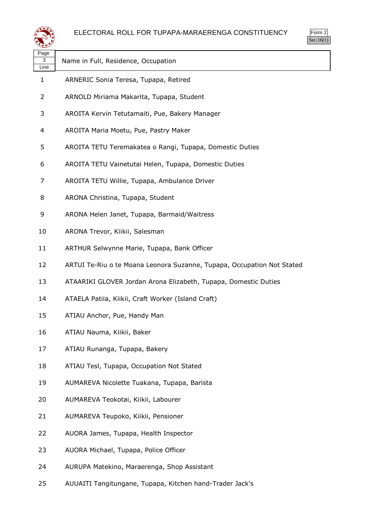



| Page<br>3<br>Line | Name in Full, Residence, Occupation                                    |
|-------------------|------------------------------------------------------------------------|
| 1                 | ARNERIC Sonia Teresa, Tupapa, Retired                                  |
| $\overline{2}$    | ARNOLD Miriama Makarita, Tupapa, Student                               |
| 3                 | AROITA Kervin Tetutamaiti, Pue, Bakery Manager                         |
| 4                 | AROITA Maria Moetu, Pue, Pastry Maker                                  |
| 5                 | AROITA TETU Teremakatea o Rangi, Tupapa, Domestic Duties               |
| 6                 | AROITA TETU Vainetutai Helen, Tupapa, Domestic Duties                  |
| 7                 | AROITA TETU Willie, Tupapa, Ambulance Driver                           |
| 8                 | ARONA Christina, Tupapa, Student                                       |
| 9                 | ARONA Helen Janet, Tupapa, Barmaid/Waitress                            |
| 10                | ARONA Trevor, Kiikii, Salesman                                         |
| 11                | ARTHUR Selwynne Marie, Tupapa, Bank Officer                            |
| 12                | ARTUI Te-Riu o te Moana Leonora Suzanne, Tupapa, Occupation Not Stated |
| 13                | ATAARIKI GLOVER Jordan Arona Elizabeth, Tupapa, Domestic Duties        |
| 14                | ATAELA Patiia, Kiikii, Craft Worker (Island Craft)                     |
| 15                | ATIAU Anchor, Pue, Handy Man                                           |
| 16                | ATIAU Nauma, Kiikii, Baker                                             |
| 17                | ATIAU Runanga, Tupapa, Bakery                                          |
| 18                | ATIAU Tesl, Tupapa, Occupation Not Stated                              |
| 19                | AUMAREVA Nicolette Tuakana, Tupapa, Barista                            |
| 20                | AUMAREVA Teokotai, Kiikii, Labourer                                    |
| 21                | AUMAREVA Teupoko, Kiikii, Pensioner                                    |
| 22                | AUORA James, Tupapa, Health Inspector                                  |
| 23                | AUORA Michael, Tupapa, Police Officer                                  |
| 24                | AURUPA Matekino, Maraerenga, Shop Assistant                            |
| 25                | AUUAITI Tangitungane, Tupapa, Kitchen hand-Trader Jack's               |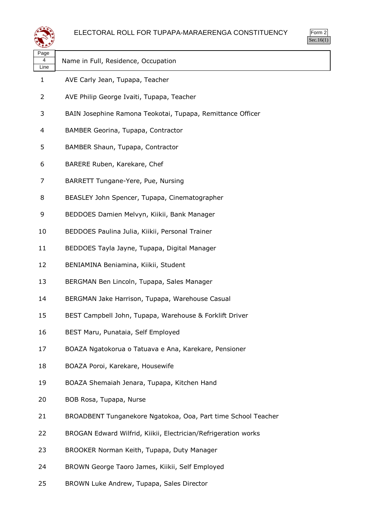

| لتستعيثه          |                                                                |
|-------------------|----------------------------------------------------------------|
| Page<br>4<br>Line | Name in Full, Residence, Occupation                            |
| 1                 | AVE Carly Jean, Tupapa, Teacher                                |
| 2                 | AVE Philip George Ivaiti, Tupapa, Teacher                      |
| 3                 | BAIN Josephine Ramona Teokotai, Tupapa, Remittance Officer     |
| 4                 | BAMBER Georina, Tupapa, Contractor                             |
| 5                 | BAMBER Shaun, Tupapa, Contractor                               |
| 6                 | BARERE Ruben, Karekare, Chef                                   |
| 7                 | BARRETT Tungane-Yere, Pue, Nursing                             |
| 8                 | BEASLEY John Spencer, Tupapa, Cinematographer                  |
| 9                 | BEDDOES Damien Melvyn, Kiikii, Bank Manager                    |
| 10                | BEDDOES Paulina Julia, Kiikii, Personal Trainer                |
| 11                | BEDDOES Tayla Jayne, Tupapa, Digital Manager                   |
| 12                | BENIAMINA Beniamina, Kiikii, Student                           |
| 13                | BERGMAN Ben Lincoln, Tupapa, Sales Manager                     |
| 14                | BERGMAN Jake Harrison, Tupapa, Warehouse Casual                |
| 15                | BEST Campbell John, Tupapa, Warehouse & Forklift Driver        |
| 16                | BEST Maru, Punataia, Self Employed                             |
| 17                | BOAZA Ngatokorua o Tatuava e Ana, Karekare, Pensioner          |
| 18                | BOAZA Poroi, Karekare, Housewife                               |
| 19                | BOAZA Shemaiah Jenara, Tupapa, Kitchen Hand                    |
| 20                | BOB Rosa, Tupapa, Nurse                                        |
| 21                | BROADBENT Tunganekore Ngatokoa, Ooa, Part time School Teacher  |
| 22                | BROGAN Edward Wilfrid, Kiikii, Electrician/Refrigeration works |
| 23                | BROOKER Norman Keith, Tupapa, Duty Manager                     |
| 24                | BROWN George Taoro James, Kiikii, Self Employed                |

BROWN Luke Andrew, Tupapa, Sales Director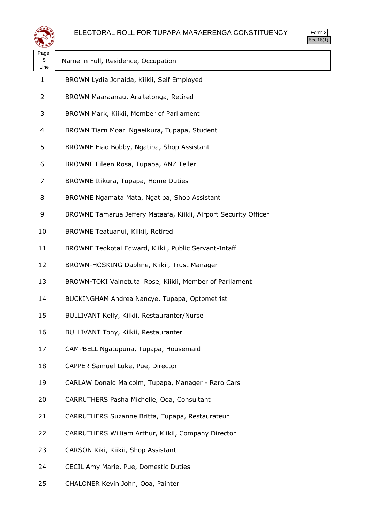



| Page<br>5<br>Line | Name in Full, Residence, Occupation                              |
|-------------------|------------------------------------------------------------------|
| 1                 | BROWN Lydia Jonaida, Kiikii, Self Employed                       |
| 2                 | BROWN Maaraanau, Araitetonga, Retired                            |
| 3                 | BROWN Mark, Kiikii, Member of Parliament                         |
| 4                 | BROWN Tiarn Moari Ngaeikura, Tupapa, Student                     |
| 5                 | BROWNE Eiao Bobby, Ngatipa, Shop Assistant                       |
| 6                 | BROWNE Eileen Rosa, Tupapa, ANZ Teller                           |
| 7                 | BROWNE Itikura, Tupapa, Home Duties                              |
| 8                 | BROWNE Ngamata Mata, Ngatipa, Shop Assistant                     |
| 9                 | BROWNE Tamarua Jeffery Mataafa, Kiikii, Airport Security Officer |
| 10                | BROWNE Teatuanui, Kiikii, Retired                                |
| 11                | BROWNE Teokotai Edward, Kiikii, Public Servant-Intaff            |
| 12                | BROWN-HOSKING Daphne, Kiikii, Trust Manager                      |
| 13                | BROWN-TOKI Vainetutai Rose, Kiikii, Member of Parliament         |
| 14                | BUCKINGHAM Andrea Nancye, Tupapa, Optometrist                    |
| 15                | BULLIVANT Kelly, Kiikii, Restauranter/Nurse                      |
| 16                | BULLIVANT Tony, Kiikii, Restauranter                             |
| 17                | CAMPBELL Ngatupuna, Tupapa, Housemaid                            |
| 18                | CAPPER Samuel Luke, Pue, Director                                |
| 19                | CARLAW Donald Malcolm, Tupapa, Manager - Raro Cars               |
| 20                | CARRUTHERS Pasha Michelle, Ooa, Consultant                       |
| 21                | CARRUTHERS Suzanne Britta, Tupapa, Restaurateur                  |
| 22                | CARRUTHERS William Arthur, Kiikii, Company Director              |
| 23                | CARSON Kiki, Kiikii, Shop Assistant                              |
| 24                | CECIL Amy Marie, Pue, Domestic Duties                            |
|                   |                                                                  |

CHALONER Kevin John, Ooa, Painter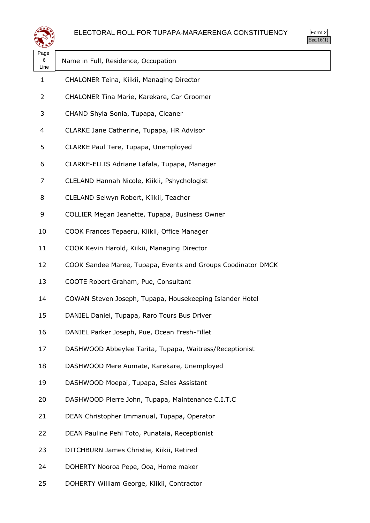



| ∼                 |                                                              |
|-------------------|--------------------------------------------------------------|
| Page<br>6<br>Line | Name in Full, Residence, Occupation                          |
| $\mathbf{1}$      | CHALONER Teina, Kiikii, Managing Director                    |
| 2                 | CHALONER Tina Marie, Karekare, Car Groomer                   |
| 3                 | CHAND Shyla Sonia, Tupapa, Cleaner                           |
| 4                 | CLARKE Jane Catherine, Tupapa, HR Advisor                    |
| 5                 | CLARKE Paul Tere, Tupapa, Unemployed                         |
| 6                 | CLARKE-ELLIS Adriane Lafala, Tupapa, Manager                 |
| 7                 | CLELAND Hannah Nicole, Kiikii, Pshychologist                 |
| 8                 | CLELAND Selwyn Robert, Kiikii, Teacher                       |
| 9                 | COLLIER Megan Jeanette, Tupapa, Business Owner               |
| 10                | COOK Frances Tepaeru, Kiikii, Office Manager                 |
| 11                | COOK Kevin Harold, Kiikii, Managing Director                 |
| 12                | COOK Sandee Maree, Tupapa, Events and Groups Coodinator DMCK |
| 13                | COOTE Robert Graham, Pue, Consultant                         |
| 14                | COWAN Steven Joseph, Tupapa, Housekeeping Islander Hotel     |
| 15                | DANIEL Daniel, Tupapa, Raro Tours Bus Driver                 |
| 16                | DANIEL Parker Joseph, Pue, Ocean Fresh-Fillet                |
| 17                | DASHWOOD Abbeylee Tarita, Tupapa, Waitress/Receptionist      |
| 18                | DASHWOOD Mere Aumate, Karekare, Unemployed                   |
| 19                | DASHWOOD Moepai, Tupapa, Sales Assistant                     |
| 20                | DASHWOOD Pierre John, Tupapa, Maintenance C.I.T.C            |
| 21                | DEAN Christopher Immanual, Tupapa, Operator                  |
| 22                | DEAN Pauline Pehi Toto, Punataia, Receptionist               |
| 23                | DITCHBURN James Christie, Kiikii, Retired                    |
| 24                | DOHERTY Nooroa Pepe, Ooa, Home maker                         |
| 25                | DOHERTY William George, Kiikii, Contractor                   |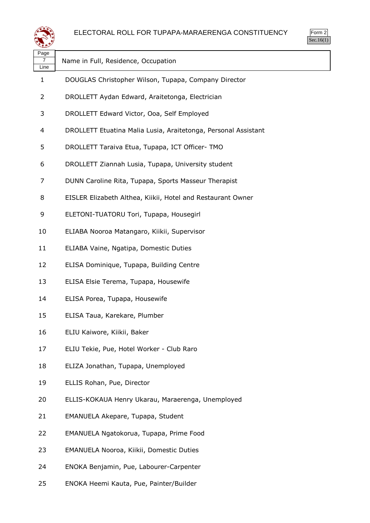



| Page<br>7<br>Line | Name in Full, Residence, Occupation                            |
|-------------------|----------------------------------------------------------------|
| 1                 | DOUGLAS Christopher Wilson, Tupapa, Company Director           |
| $\overline{2}$    | DROLLETT Aydan Edward, Araitetonga, Electrician                |
| 3                 | DROLLETT Edward Victor, Ooa, Self Employed                     |
| 4                 | DROLLETT Etuatina Malia Lusia, Araitetonga, Personal Assistant |
| 5                 | DROLLETT Taraiva Etua, Tupapa, ICT Officer- TMO                |
| 6                 | DROLLETT Ziannah Lusia, Tupapa, University student             |
| 7                 | DUNN Caroline Rita, Tupapa, Sports Masseur Therapist           |
| 8                 | EISLER Elizabeth Althea, Kiikii, Hotel and Restaurant Owner    |
| 9                 | ELETONI-TUATORU Tori, Tupapa, Housegirl                        |
| 10                | ELIABA Nooroa Matangaro, Kiikii, Supervisor                    |
| 11                | ELIABA Vaine, Ngatipa, Domestic Duties                         |
| 12                | ELISA Dominique, Tupapa, Building Centre                       |
| 13                | ELISA Elsie Terema, Tupapa, Housewife                          |
| 14                | ELISA Porea, Tupapa, Housewife                                 |
| 15                | ELISA Taua, Karekare, Plumber                                  |
| 16                | ELIU Kaiwore, Kiikii, Baker                                    |
| 17                | ELIU Tekie, Pue, Hotel Worker - Club Raro                      |
| 18                | ELIZA Jonathan, Tupapa, Unemployed                             |
| 19                | ELLIS Rohan, Pue, Director                                     |
| 20                | ELLIS-KOKAUA Henry Ukarau, Maraerenga, Unemployed              |
| 21                | EMANUELA Akepare, Tupapa, Student                              |
| 22                | EMANUELA Ngatokorua, Tupapa, Prime Food                        |
| 23                | EMANUELA Nooroa, Kiikii, Domestic Duties                       |
| 24                | ENOKA Benjamin, Pue, Labourer-Carpenter                        |
|                   |                                                                |

ENOKA Heemi Kauta, Pue, Painter/Builder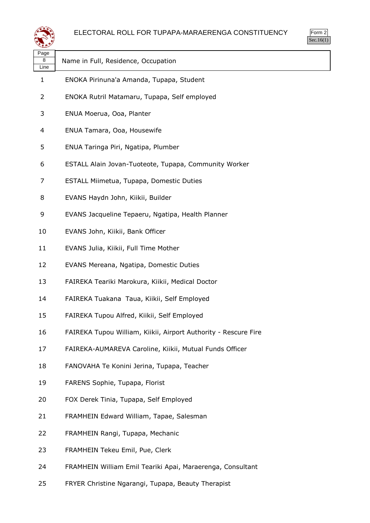



| Page<br>8<br>Line | Name in Full, Residence, Occupation                             |
|-------------------|-----------------------------------------------------------------|
| $\mathbf{1}$      | ENOKA Pirinuna'a Amanda, Tupapa, Student                        |
| 2                 | ENOKA Rutril Matamaru, Tupapa, Self employed                    |
| 3                 | ENUA Moerua, Ooa, Planter                                       |
| 4                 | ENUA Tamara, Ooa, Housewife                                     |
| 5                 | ENUA Taringa Piri, Ngatipa, Plumber                             |
| 6                 | ESTALL Alain Jovan-Tuoteote, Tupapa, Community Worker           |
| 7                 | ESTALL Miimetua, Tupapa, Domestic Duties                        |
| 8                 | EVANS Haydn John, Kiikii, Builder                               |
| 9                 | EVANS Jacqueline Tepaeru, Ngatipa, Health Planner               |
| 10                | EVANS John, Kiikii, Bank Officer                                |
| 11                | EVANS Julia, Kiikii, Full Time Mother                           |
| 12                | EVANS Mereana, Ngatipa, Domestic Duties                         |
| 13                | FAIREKA Teariki Marokura, Kiikii, Medical Doctor                |
| 14                | FAIREKA Tuakana Taua, Kiikii, Self Employed                     |
| 15                | FAIREKA Tupou Alfred, Kiikii, Self Employed                     |
| 16                | FAIREKA Tupou William, Kiikii, Airport Authority - Rescure Fire |
| 17                | FAIREKA-AUMAREVA Caroline, Kiikii, Mutual Funds Officer         |
| 18                | FANOVAHA Te Konini Jerina, Tupapa, Teacher                      |
| 19                | FARENS Sophie, Tupapa, Florist                                  |
| 20                | FOX Derek Tinia, Tupapa, Self Employed                          |
| 21                | FRAMHEIN Edward William, Tapae, Salesman                        |
| 22                | FRAMHEIN Rangi, Tupapa, Mechanic                                |
| 23                | FRAMHEIN Tekeu Emil, Pue, Clerk                                 |
| 24                | FRAMHEIN William Emil Teariki Apai, Maraerenga, Consultant      |
| 25                | FRYER Christine Ngarangi, Tupapa, Beauty Therapist              |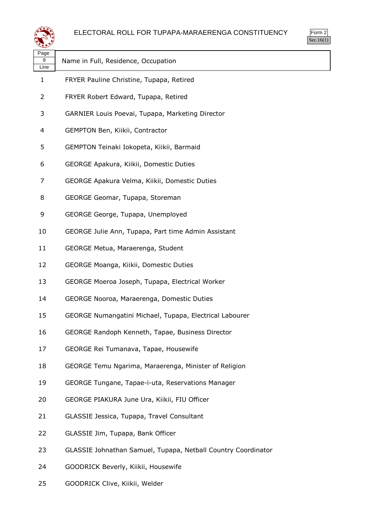



| Page           |                                                               |
|----------------|---------------------------------------------------------------|
| 9<br>Line      | Name in Full, Residence, Occupation                           |
| 1              | FRYER Pauline Christine, Tupapa, Retired                      |
| $\overline{2}$ | FRYER Robert Edward, Tupapa, Retired                          |
| 3              | GARNIER Louis Poevai, Tupapa, Marketing Director              |
| 4              | GEMPTON Ben, Kiikii, Contractor                               |
| 5              | GEMPTON Teinaki Iokopeta, Kiikii, Barmaid                     |
| 6              | GEORGE Apakura, Kiikii, Domestic Duties                       |
| 7              | GEORGE Apakura Velma, Kiikii, Domestic Duties                 |
| 8              | GEORGE Geomar, Tupapa, Storeman                               |
| 9              | GEORGE George, Tupapa, Unemployed                             |
| 10             | GEORGE Julie Ann, Tupapa, Part time Admin Assistant           |
| 11             | GEORGE Metua, Maraerenga, Student                             |
| 12             | GEORGE Moanga, Kiikii, Domestic Duties                        |
| 13             | GEORGE Moeroa Joseph, Tupapa, Electrical Worker               |
| 14             | GEORGE Nooroa, Maraerenga, Domestic Duties                    |
| 15             | GEORGE Numangatini Michael, Tupapa, Electrical Labourer       |
| 16             | GEORGE Randoph Kenneth, Tapae, Business Director              |
| 17             | GEORGE Rei Tumanava, Tapae, Housewife                         |
| 18             | GEORGE Temu Ngarima, Maraerenga, Minister of Religion         |
| 19             | GEORGE Tungane, Tapae-i-uta, Reservations Manager             |
| 20             | GEORGE PIAKURA June Ura, Kiikii, FIU Officer                  |
| 21             | GLASSIE Jessica, Tupapa, Travel Consultant                    |
| 22             | GLASSIE Jim, Tupapa, Bank Officer                             |
| 23             | GLASSIE Johnathan Samuel, Tupapa, Netball Country Coordinator |
| 24             | GOODRICK Beverly, Kiikii, Housewife                           |
|                |                                                               |

GOODRICK Clive, Kiikii, Welder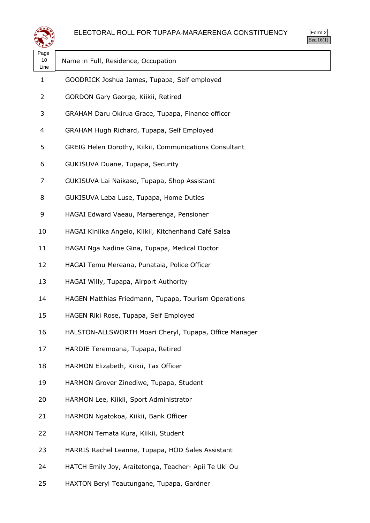



| Page<br>10<br>Line | Name in Full, Residence, Occupation                    |
|--------------------|--------------------------------------------------------|
| $\mathbf{1}$       | GOODRICK Joshua James, Tupapa, Self employed           |
| $\overline{2}$     | GORDON Gary George, Kiikii, Retired                    |
| 3                  | GRAHAM Daru Okirua Grace, Tupapa, Finance officer      |
| 4                  | GRAHAM Hugh Richard, Tupapa, Self Employed             |
| 5                  | GREIG Helen Dorothy, Kiikii, Communications Consultant |
| 6                  | GUKISUVA Duane, Tupapa, Security                       |
| 7                  | GUKISUVA Lai Naikaso, Tupapa, Shop Assistant           |
| 8                  | GUKISUVA Leba Luse, Tupapa, Home Duties                |
| 9                  | HAGAI Edward Vaeau, Maraerenga, Pensioner              |
| 10                 | HAGAI Kiniika Angelo, Kiikii, Kitchenhand Café Salsa   |
| 11                 | HAGAI Nga Nadine Gina, Tupapa, Medical Doctor          |
| 12                 | HAGAI Temu Mereana, Punataia, Police Officer           |
| 13                 | HAGAI Willy, Tupapa, Airport Authority                 |
| 14                 | HAGEN Matthias Friedmann, Tupapa, Tourism Operations   |
| 15                 | HAGEN Riki Rose, Tupapa, Self Employed                 |
| 16                 | HALSTON-ALLSWORTH Moari Cheryl, Tupapa, Office Manager |
| 17                 | HARDIE Teremoana, Tupapa, Retired                      |
| 18                 | HARMON Elizabeth, Kiikii, Tax Officer                  |
| 19                 | HARMON Grover Zinediwe, Tupapa, Student                |
| 20                 | HARMON Lee, Kiikii, Sport Administrator                |
| 21                 | HARMON Ngatokoa, Kiikii, Bank Officer                  |
| 22                 | HARMON Temata Kura, Kiikii, Student                    |
| 23                 | HARRIS Rachel Leanne, Tupapa, HOD Sales Assistant      |
| 24                 | HATCH Emily Joy, Araitetonga, Teacher- Apii Te Uki Ou  |

HAXTON Beryl Teautungane, Tupapa, Gardner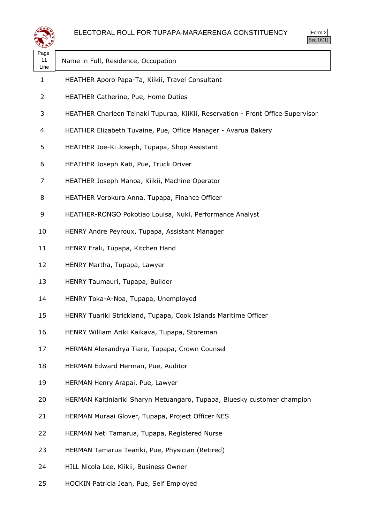

| Page<br>11<br>Line | Name in Full, Residence, Occupation                                             |
|--------------------|---------------------------------------------------------------------------------|
| 1                  | HEATHER Aporo Papa-Ta, Kiikii, Travel Consultant                                |
| 2                  | HEATHER Catherine, Pue, Home Duties                                             |
| 3                  | HEATHER Charleen Teinaki Tupuraa, KiiKii, Reservation - Front Office Supervisor |
| 4                  | HEATHER Elizabeth Tuvaine, Pue, Office Manager - Avarua Bakery                  |
| 5                  | HEATHER Joe-Ki Joseph, Tupapa, Shop Assistant                                   |
| 6                  | HEATHER Joseph Kati, Pue, Truck Driver                                          |
| 7                  | HEATHER Joseph Manoa, Kiikii, Machine Operator                                  |
| 8                  | HEATHER Verokura Anna, Tupapa, Finance Officer                                  |
| 9                  | HEATHER-RONGO Pokotiao Louisa, Nuki, Performance Analyst                        |
| 10                 | HENRY Andre Peyroux, Tupapa, Assistant Manager                                  |
| 11                 | HENRY Frali, Tupapa, Kitchen Hand                                               |
| 12                 | HENRY Martha, Tupapa, Lawyer                                                    |
| 13                 | HENRY Taumauri, Tupapa, Builder                                                 |
| 14                 | HENRY Toka-A-Noa, Tupapa, Unemployed                                            |
| 15                 | HENRY Tuariki Strickland, Tupapa, Cook Islands Maritime Officer                 |
| 16                 | HENRY William Ariki Kaikava, Tupapa, Storeman                                   |
| 17                 | HERMAN Alexandrya Tiare, Tupapa, Crown Counsel                                  |
| 18                 | HERMAN Edward Herman, Pue, Auditor                                              |
| 19                 | HERMAN Henry Arapai, Pue, Lawyer                                                |
| 20                 | HERMAN Kaitiniariki Sharyn Metuangaro, Tupapa, Bluesky customer champion        |
| 21                 | HERMAN Muraai Glover, Tupapa, Project Officer NES                               |
| 22                 | HERMAN Neti Tamarua, Tupapa, Registered Nurse                                   |
| 23                 | HERMAN Tamarua Teariki, Pue, Physician (Retired)                                |
| 24                 | HILL Nicola Lee, Kiikii, Business Owner                                         |

HOCKIN Patricia Jean, Pue, Self Employed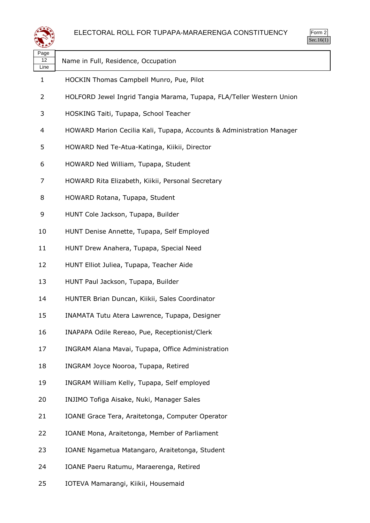

| Page<br>12<br>Line | Name in Full, Residence, Occupation                                   |
|--------------------|-----------------------------------------------------------------------|
| $\mathbf{1}$       | HOCKIN Thomas Campbell Munro, Pue, Pilot                              |
| 2                  | HOLFORD Jewel Ingrid Tangia Marama, Tupapa, FLA/Teller Western Union  |
| 3                  | HOSKING Taiti, Tupapa, School Teacher                                 |
| 4                  | HOWARD Marion Cecilia Kali, Tupapa, Accounts & Administration Manager |
| 5                  | HOWARD Ned Te-Atua-Katinga, Kiikii, Director                          |
| 6                  | HOWARD Ned William, Tupapa, Student                                   |
| 7                  | HOWARD Rita Elizabeth, Kiikii, Personal Secretary                     |
| 8                  | HOWARD Rotana, Tupapa, Student                                        |
| 9                  | HUNT Cole Jackson, Tupapa, Builder                                    |
| 10                 | HUNT Denise Annette, Tupapa, Self Employed                            |
| 11                 | HUNT Drew Anahera, Tupapa, Special Need                               |
| 12                 | HUNT Elliot Juliea, Tupapa, Teacher Aide                              |
| 13                 | HUNT Paul Jackson, Tupapa, Builder                                    |
| 14                 | HUNTER Brian Duncan, Kiikii, Sales Coordinator                        |
| 15                 | INAMATA Tutu Atera Lawrence, Tupapa, Designer                         |
| 16                 | INAPAPA Odile Rereao, Pue, Receptionist/Clerk                         |
| 17                 | INGRAM Alana Mavai, Tupapa, Office Administration                     |
| 18                 | INGRAM Joyce Nooroa, Tupapa, Retired                                  |
| 19                 | INGRAM William Kelly, Tupapa, Self employed                           |
| 20                 | INJIMO Tofiga Aisake, Nuki, Manager Sales                             |
| 21                 | IOANE Grace Tera, Araitetonga, Computer Operator                      |
| 22                 | IOANE Mona, Araitetonga, Member of Parliament                         |
| 23                 | IOANE Ngametua Matangaro, Araitetonga, Student                        |
| 24                 | IOANE Paeru Ratumu, Maraerenga, Retired                               |

IOTEVA Mamarangi, Kiikii, Housemaid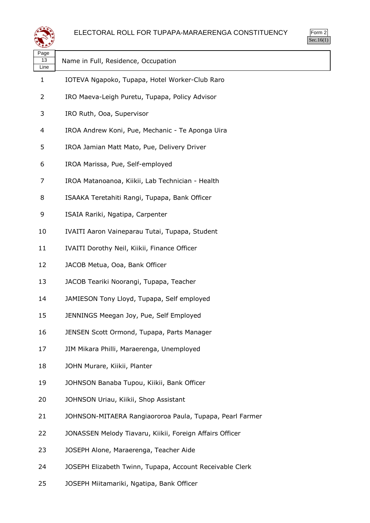



| Page<br>13<br>Line | Name in Full, Residence, Occupation                      |
|--------------------|----------------------------------------------------------|
| 1                  | IOTEVA Ngapoko, Tupapa, Hotel Worker-Club Raro           |
| 2                  | IRO Maeva-Leigh Puretu, Tupapa, Policy Advisor           |
| 3                  | IRO Ruth, Ooa, Supervisor                                |
| 4                  | IROA Andrew Koni, Pue, Mechanic - Te Aponga Uira         |
| 5                  | IROA Jamian Matt Mato, Pue, Delivery Driver              |
| 6                  | IROA Marissa, Pue, Self-employed                         |
| 7                  | IROA Matanoanoa, Kiikii, Lab Technician - Health         |
| 8                  | ISAAKA Teretahiti Rangi, Tupapa, Bank Officer            |
| 9                  | ISAIA Rariki, Ngatipa, Carpenter                         |
| 10                 | IVAITI Aaron Vaineparau Tutai, Tupapa, Student           |
| 11                 | IVAITI Dorothy Neil, Kiikii, Finance Officer             |
| 12                 | JACOB Metua, Ooa, Bank Officer                           |
| 13                 | JACOB Teariki Noorangi, Tupapa, Teacher                  |
| 14                 | JAMIESON Tony Lloyd, Tupapa, Self employed               |
| 15                 | JENNINGS Meegan Joy, Pue, Self Employed                  |
| 16                 | JENSEN Scott Ormond, Tupapa, Parts Manager               |
| 17                 | JIM Mikara Philli, Maraerenga, Unemployed                |
| 18                 | JOHN Murare, Kiikii, Planter                             |
| 19                 | JOHNSON Banaba Tupou, Kiikii, Bank Officer               |
| 20                 | JOHNSON Uriau, Kiikii, Shop Assistant                    |
| 21                 | JOHNSON-MITAERA Rangiaororoa Paula, Tupapa, Pearl Farmer |
| 22                 | JONASSEN Melody Tiavaru, Kiikii, Foreign Affairs Officer |
| 23                 | JOSEPH Alone, Maraerenga, Teacher Aide                   |
| 24                 | JOSEPH Elizabeth Twinn, Tupapa, Account Receivable Clerk |

JOSEPH Miitamariki, Ngatipa, Bank Officer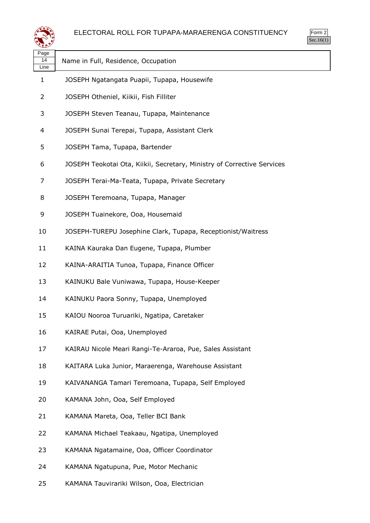



| لتعطيفه            |                                                                         | 000.10(1) |
|--------------------|-------------------------------------------------------------------------|-----------|
| Page<br>14<br>Line | Name in Full, Residence, Occupation                                     |           |
| 1                  | JOSEPH Ngatangata Puapii, Tupapa, Housewife                             |           |
| 2                  | JOSEPH Otheniel, Kiikii, Fish Filliter                                  |           |
| 3                  | JOSEPH Steven Teanau, Tupapa, Maintenance                               |           |
| 4                  | JOSEPH Sunai Terepai, Tupapa, Assistant Clerk                           |           |
| 5                  | JOSEPH Tama, Tupapa, Bartender                                          |           |
| 6                  | JOSEPH Teokotai Ota, Kiikii, Secretary, Ministry of Corrective Services |           |
| 7                  | JOSEPH Terai-Ma-Teata, Tupapa, Private Secretary                        |           |
| 8                  | JOSEPH Teremoana, Tupapa, Manager                                       |           |
| 9                  | JOSEPH Tuainekore, Ooa, Housemaid                                       |           |
| 10                 | JOSEPH-TUREPU Josephine Clark, Tupapa, Receptionist/Waitress            |           |
| 11                 | KAINA Kauraka Dan Eugene, Tupapa, Plumber                               |           |
| 12                 | KAINA-ARAITIA Tunoa, Tupapa, Finance Officer                            |           |
| 13                 | KAINUKU Bale Vuniwawa, Tupapa, House-Keeper                             |           |
| 14                 | KAINUKU Paora Sonny, Tupapa, Unemployed                                 |           |
| 15                 | KAIOU Nooroa Turuariki, Ngatipa, Caretaker                              |           |
| 16                 | KAIRAE Putai, Ooa, Unemployed                                           |           |
| 17                 | KAIRAU Nicole Meari Rangi-Te-Araroa, Pue, Sales Assistant               |           |
| 18                 | KAITARA Luka Junior, Maraerenga, Warehouse Assistant                    |           |
| 19                 | KAIVANANGA Tamari Teremoana, Tupapa, Self Employed                      |           |
| 20                 | KAMANA John, Ooa, Self Employed                                         |           |
| 21                 | KAMANA Mareta, Ooa, Teller BCI Bank                                     |           |
| 22                 | KAMANA Michael Teakaau, Ngatipa, Unemployed                             |           |
| 23                 | KAMANA Ngatamaine, Ooa, Officer Coordinator                             |           |
| 24                 | KAMANA Ngatupuna, Pue, Motor Mechanic                                   |           |
| 25                 | KAMANA Tauvirariki Wilson, Ooa, Electrician                             |           |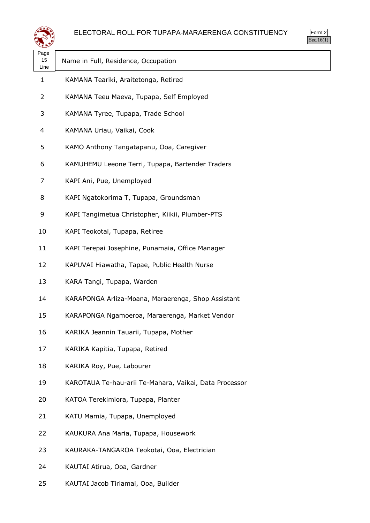



| Page<br>15<br>Line | Name in Full, Residence, Occupation                    |
|--------------------|--------------------------------------------------------|
| $\mathbf{1}$       | KAMANA Teariki, Araitetonga, Retired                   |
| 2                  | KAMANA Teeu Maeva, Tupapa, Self Employed               |
| 3                  | KAMANA Tyree, Tupapa, Trade School                     |
| 4                  | KAMANA Uriau, Vaikai, Cook                             |
| 5                  | KAMO Anthony Tangatapanu, Ooa, Caregiver               |
| 6                  | KAMUHEMU Leeone Terri, Tupapa, Bartender Traders       |
| 7                  | KAPI Ani, Pue, Unemployed                              |
| 8                  | KAPI Ngatokorima T, Tupapa, Groundsman                 |
| 9                  | KAPI Tangimetua Christopher, Kiikii, Plumber-PTS       |
| 10                 | KAPI Teokotai, Tupapa, Retiree                         |
| 11                 | KAPI Terepai Josephine, Punamaia, Office Manager       |
| 12                 | KAPUVAI Hiawatha, Tapae, Public Health Nurse           |
| 13                 | KARA Tangi, Tupapa, Warden                             |
| 14                 | KARAPONGA Arliza-Moana, Maraerenga, Shop Assistant     |
| 15                 | KARAPONGA Ngamoeroa, Maraerenga, Market Vendor         |
| 16                 | KARIKA Jeannin Tauarii, Tupapa, Mother                 |
| 17                 | KARIKA Kapitia, Tupapa, Retired                        |
| 18                 | KARIKA Roy, Pue, Labourer                              |
| 19                 | KAROTAUA Te-hau-arii Te-Mahara, Vaikai, Data Processor |
| 20                 | KATOA Terekimiora, Tupapa, Planter                     |
| 21                 | KATU Mamia, Tupapa, Unemployed                         |
| 22                 | KAUKURA Ana Maria, Tupapa, Housework                   |
| 23                 | KAURAKA-TANGAROA Teokotai, Ooa, Electrician            |
| 24                 | KAUTAI Atirua, Ooa, Gardner                            |
| 25                 | KAUTAI Jacob Tiriamai, Ooa, Builder                    |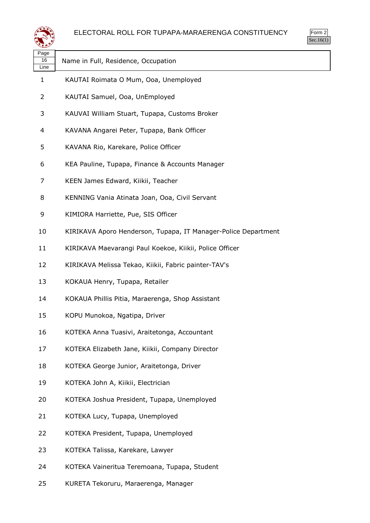



| ≍±≠                |                                                                |
|--------------------|----------------------------------------------------------------|
| Page<br>16<br>Line | Name in Full, Residence, Occupation                            |
| 1                  | KAUTAI Roimata O Mum, Ooa, Unemployed                          |
| 2                  | KAUTAI Samuel, Ooa, UnEmployed                                 |
| 3                  | KAUVAI William Stuart, Tupapa, Customs Broker                  |
| 4                  | KAVANA Angarei Peter, Tupapa, Bank Officer                     |
| 5                  | KAVANA Rio, Karekare, Police Officer                           |
| 6                  | KEA Pauline, Tupapa, Finance & Accounts Manager                |
| 7                  | KEEN James Edward, Kiikii, Teacher                             |
| 8                  | KENNING Vania Atinata Joan, Ooa, Civil Servant                 |
| 9                  | KIMIORA Harriette, Pue, SIS Officer                            |
| 10                 | KIRIKAVA Aporo Henderson, Tupapa, IT Manager-Police Department |
| 11                 | KIRIKAVA Maevarangi Paul Koekoe, Kiikii, Police Officer        |
| 12                 | KIRIKAVA Melissa Tekao, Kiikii, Fabric painter-TAV's           |
| 13                 | KOKAUA Henry, Tupapa, Retailer                                 |
| 14                 | KOKAUA Phillis Pitia, Maraerenga, Shop Assistant               |
| 15                 | KOPU Munokoa, Ngatipa, Driver                                  |
| 16                 | KOTEKA Anna Tuasivi, Araitetonga, Accountant                   |
| 17                 | KOTEKA Elizabeth Jane, Kiikii, Company Director                |
| 18                 | KOTEKA George Junior, Araitetonga, Driver                      |
| 19                 | KOTEKA John A, Kiikii, Electrician                             |
| 20                 | KOTEKA Joshua President, Tupapa, Unemployed                    |
| 21                 | KOTEKA Lucy, Tupapa, Unemployed                                |
| 22                 | KOTEKA President, Tupapa, Unemployed                           |
| 23                 | KOTEKA Talissa, Karekare, Lawyer                               |
| 24                 | KOTEKA Vaineritua Teremoana, Tupapa, Student                   |
| 25                 | KURETA Tekoruru, Maraerenga, Manager                           |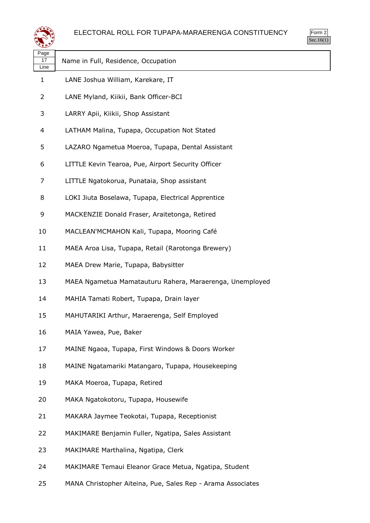



| Page<br>17<br>Line | Name in Full, Residence, Occupation                      |
|--------------------|----------------------------------------------------------|
| 1                  | LANE Joshua William, Karekare, IT                        |
| 2                  | LANE Myland, Kiikii, Bank Officer-BCI                    |
| 3                  | LARRY Apii, Kiikii, Shop Assistant                       |
| 4                  | LATHAM Malina, Tupapa, Occupation Not Stated             |
| 5                  | LAZARO Ngametua Moeroa, Tupapa, Dental Assistant         |
| 6                  | LITTLE Kevin Tearoa, Pue, Airport Security Officer       |
| 7                  | LITTLE Ngatokorua, Punataia, Shop assistant              |
| 8                  | LOKI Jiuta Boselawa, Tupapa, Electrical Apprentice       |
| 9                  | MACKENZIE Donald Fraser, Araitetonga, Retired            |
| 10                 | MACLEAN'MCMAHON Kali, Tupapa, Mooring Café               |
| 11                 | MAEA Aroa Lisa, Tupapa, Retail (Rarotonga Brewery)       |
| 12                 | MAEA Drew Marie, Tupapa, Babysitter                      |
| 13                 | MAEA Ngametua Mamatauturu Rahera, Maraerenga, Unemployed |
| 14                 | MAHIA Tamati Robert, Tupapa, Drain layer                 |
| 15                 | MAHUTARIKI Arthur, Maraerenga, Self Employed             |
| 16                 | MAIA Yawea, Pue, Baker                                   |
| 17                 | MAINE Ngaoa, Tupapa, First Windows & Doors Worker        |
| 18                 | MAINE Ngatamariki Matangaro, Tupapa, Housekeeping        |
| 19                 | MAKA Moeroa, Tupapa, Retired                             |
| 20                 | MAKA Ngatokotoru, Tupapa, Housewife                      |
| 21                 | MAKARA Jaymee Teokotai, Tupapa, Receptionist             |
| 22                 | MAKIMARE Benjamin Fuller, Ngatipa, Sales Assistant       |
| 23                 | MAKIMARE Marthalina, Ngatipa, Clerk                      |

- MAKIMARE Temaui Eleanor Grace Metua, Ngatipa, Student
- MANA Christopher Aiteina, Pue, Sales Rep Arama Associates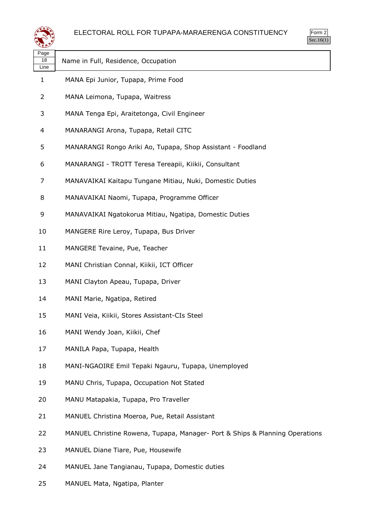

|            |                                                                              | Sec.16 |
|------------|------------------------------------------------------------------------------|--------|
| Page<br>18 | Name in Full, Residence, Occupation                                          |        |
| Line       |                                                                              |        |
| 1          | MANA Epi Junior, Tupapa, Prime Food                                          |        |
| 2          | MANA Leimona, Tupapa, Waitress                                               |        |
| 3          | MANA Tenga Epi, Araitetonga, Civil Engineer                                  |        |
| 4          | MANARANGI Arona, Tupapa, Retail CITC                                         |        |
| 5          | MANARANGI Rongo Ariki Ao, Tupapa, Shop Assistant - Foodland                  |        |
| 6          | MANARANGI - TROTT Teresa Tereapii, Kiikii, Consultant                        |        |
| 7          | MANAVAIKAI Kaitapu Tungane Mitiau, Nuki, Domestic Duties                     |        |
| 8          | MANAVAIKAI Naomi, Tupapa, Programme Officer                                  |        |
| 9          | MANAVAIKAI Ngatokorua Mitiau, Ngatipa, Domestic Duties                       |        |
| 10         | MANGERE Rire Leroy, Tupapa, Bus Driver                                       |        |
| 11         | MANGERE Tevaine, Pue, Teacher                                                |        |
| 12         | MANI Christian Connal, Kiikii, ICT Officer                                   |        |
| 13         | MANI Clayton Apeau, Tupapa, Driver                                           |        |
| 14         | MANI Marie, Ngatipa, Retired                                                 |        |
| 15         | MANI Veia, Kiikii, Stores Assistant-CIs Steel                                |        |
| 16         | MANI Wendy Joan, Kiikii, Chef                                                |        |
| 17         | MANILA Papa, Tupapa, Health                                                  |        |
| 18         | MANI-NGAOIRE Emil Tepaki Ngauru, Tupapa, Unemployed                          |        |
| 19         | MANU Chris, Tupapa, Occupation Not Stated                                    |        |
| 20         | MANU Matapakia, Tupapa, Pro Traveller                                        |        |
| 21         | MANUEL Christina Moeroa, Pue, Retail Assistant                               |        |
| 22         | MANUEL Christine Rowena, Tupapa, Manager- Port & Ships & Planning Operations |        |
| 23         | MANUEL Diane Tiare, Pue, Housewife                                           |        |
| 24         | MANUEL Jane Tangianau, Tupapa, Domestic duties                               |        |

MANUEL Mata, Ngatipa, Planter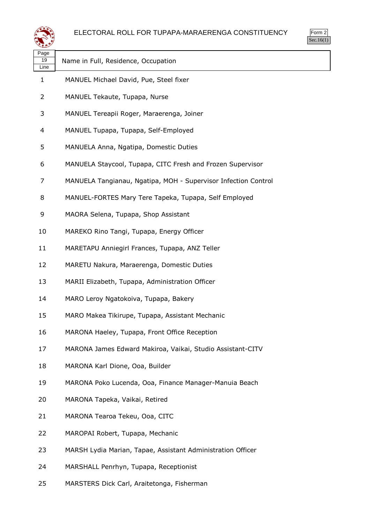



| Page<br>19<br>Line | Name in Full, Residence, Occupation                            |
|--------------------|----------------------------------------------------------------|
| $\mathbf{1}$       | MANUEL Michael David, Pue, Steel fixer                         |
| 2                  | MANUEL Tekaute, Tupapa, Nurse                                  |
| 3                  | MANUEL Tereapii Roger, Maraerenga, Joiner                      |
| 4                  | MANUEL Tupapa, Tupapa, Self-Employed                           |
| 5                  | MANUELA Anna, Ngatipa, Domestic Duties                         |
| 6                  | MANUELA Staycool, Tupapa, CITC Fresh and Frozen Supervisor     |
| 7                  | MANUELA Tangianau, Ngatipa, MOH - Supervisor Infection Control |
| 8                  | MANUEL-FORTES Mary Tere Tapeka, Tupapa, Self Employed          |
| 9                  | MAORA Selena, Tupapa, Shop Assistant                           |
| 10                 | MAREKO Rino Tangi, Tupapa, Energy Officer                      |
| 11                 | MARETAPU Anniegirl Frances, Tupapa, ANZ Teller                 |
| 12                 | MARETU Nakura, Maraerenga, Domestic Duties                     |
| 13                 | MARII Elizabeth, Tupapa, Administration Officer                |
| 14                 | MARO Leroy Ngatokoiva, Tupapa, Bakery                          |
| 15                 | MARO Makea Tikirupe, Tupapa, Assistant Mechanic                |
| 16                 | MARONA Haeley, Tupapa, Front Office Reception                  |
| 17                 | MARONA James Edward Makiroa, Vaikai, Studio Assistant-CITV     |
| 18                 | MARONA Karl Dione, Ooa, Builder                                |
| 19                 | MARONA Poko Lucenda, Ooa, Finance Manager-Manuia Beach         |
| 20                 | MARONA Tapeka, Vaikai, Retired                                 |
| 21                 | MARONA Tearoa Tekeu, Ooa, CITC                                 |
| 22                 | MAROPAI Robert, Tupapa, Mechanic                               |
| 23                 | MARSH Lydia Marian, Tapae, Assistant Administration Officer    |
| 24                 | MARSHALL Penrhyn, Tupapa, Receptionist                         |

MARSTERS Dick Carl, Araitetonga, Fisherman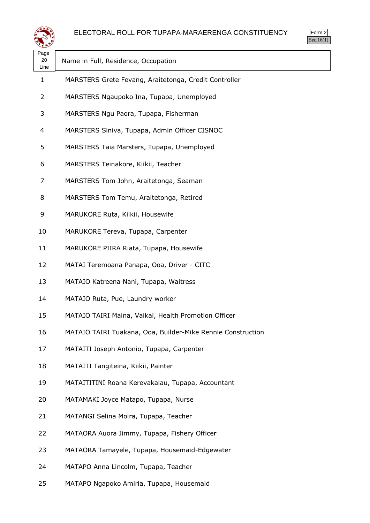



| Page<br>20<br>Line | Name in Full, Residence, Occupation                         |
|--------------------|-------------------------------------------------------------|
| 1                  | MARSTERS Grete Fevang, Araitetonga, Credit Controller       |
| 2                  | MARSTERS Ngaupoko Ina, Tupapa, Unemployed                   |
| 3                  | MARSTERS Ngu Paora, Tupapa, Fisherman                       |
| 4                  | MARSTERS Siniva, Tupapa, Admin Officer CISNOC               |
| 5                  | MARSTERS Taia Marsters, Tupapa, Unemployed                  |
| 6                  | MARSTERS Teinakore, Kiikii, Teacher                         |
| 7                  | MARSTERS Tom John, Araitetonga, Seaman                      |
| 8                  | MARSTERS Tom Temu, Araitetonga, Retired                     |
| 9                  | MARUKORE Ruta, Kiikii, Housewife                            |
| 10                 | MARUKORE Tereva, Tupapa, Carpenter                          |
| 11                 | MARUKORE PIIRA Riata, Tupapa, Housewife                     |
| 12                 | MATAI Teremoana Panapa, Ooa, Driver - CITC                  |
| 13                 | MATAIO Katreena Nani, Tupapa, Waitress                      |
| 14                 | MATAIO Ruta, Pue, Laundry worker                            |
| 15                 | MATAIO TAIRI Maina, Vaikai, Health Promotion Officer        |
| 16                 | MATAIO TAIRI Tuakana, Ooa, Builder-Mike Rennie Construction |
| 17                 | MATAITI Joseph Antonio, Tupapa, Carpenter                   |
| 18                 | MATAITI Tangiteina, Kiikii, Painter                         |
| 19                 | MATAITITINI Roana Kerevakalau, Tupapa, Accountant           |
| 20                 | MATAMAKI Joyce Matapo, Tupapa, Nurse                        |
| 21                 | MATANGI Selina Moira, Tupapa, Teacher                       |
| 22                 | MATAORA Auora Jimmy, Tupapa, Fishery Officer                |
| 23                 | MATAORA Tamayele, Tupapa, Housemaid-Edgewater               |
| 24                 | MATAPO Anna Lincolm, Tupapa, Teacher                        |

MATAPO Ngapoko Amiria, Tupapa, Housemaid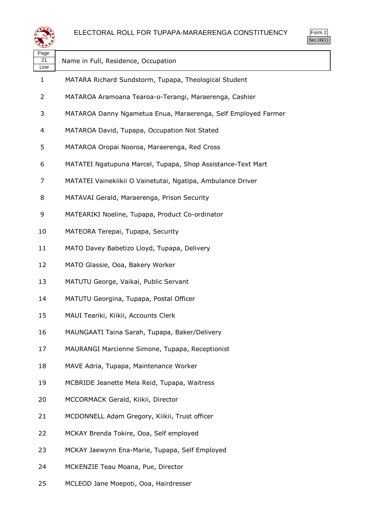

Form 2 Sec.16(1)

| Page<br>21<br>Line | Name in Full, Residence, Occupation                           |
|--------------------|---------------------------------------------------------------|
| 1                  | MATARA Richard Sundstorm, Tupapa, Theological Student         |
| 2                  | MATAROA Aramoana Tearoa-o-Terangi, Maraerenga, Cashier        |
| 3                  | MATAROA Danny Ngametua Enua, Maraerenga, Self Employed Farmer |
| 4                  | MATAROA David, Tupapa, Occupation Not Stated                  |
| 5                  | MATAROA Oropai Nooroa, Maraerenga, Red Cross                  |
| 6                  | MATATEI Ngatupuna Marcel, Tupapa, Shop Assistance-Text Mart   |
| 7                  | MATATEI Vainekiikii O Vainetutai, Ngatipa, Ambulance Driver   |
| 8                  | MATAVAI Gerald, Maraerenga, Prison Security                   |
| 9                  | MATEARIKI Noeline, Tupapa, Product Co-ordinator               |
| 10                 | MATEORA Terepai, Tupapa, Security                             |
| 11                 | MATO Davey Babetizo Lloyd, Tupapa, Delivery                   |
| 12                 | MATO Glassie, Ooa, Bakery Worker                              |
| 13                 | MATUTU George, Vaikai, Public Servant                         |
| 14                 | MATUTU Georgina, Tupapa, Postal Officer                       |
| 15                 | MAUI Teariki, Kiikii, Accounts Clerk                          |
| 16                 | MAUNGAATI Taina Sarah, Tupapa, Baker/Delivery                 |
| 17                 | MAURANGI Marcienne Simone, Tupapa, Receptionist               |
| 18                 | MAVE Adria, Tupapa, Maintenance Worker                        |
| 19                 | MCBRIDE Jeanette Mela Reid, Tupapa, Waitress                  |
| 20                 | MCCORMACK Gerald, Kiikii, Director                            |
| 21                 | MCDONNELL Adam Gregory, Kiikii, Trust officer                 |
| 22                 | MCKAY Brenda Tokire, Ooa, Self employed                       |
| 23                 | MCKAY Jaewynn Ena-Marie, Tupapa, Self Employed                |
| 24                 | MCKENZIE Teau Moana, Pue, Director                            |

MCLEOD Jane Moepoti, Ooa, Hairdresser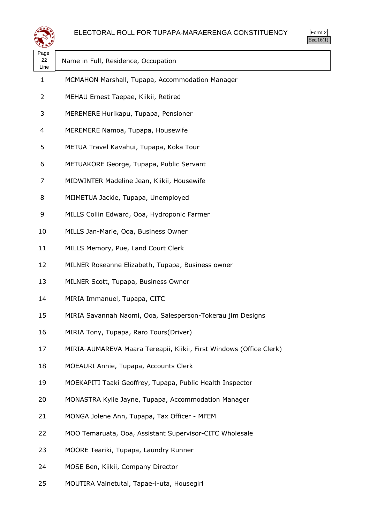



| Page<br>22<br>Line | Name in Full, Residence, Occupation                                 |
|--------------------|---------------------------------------------------------------------|
| 1                  | MCMAHON Marshall, Tupapa, Accommodation Manager                     |
| 2                  | MEHAU Ernest Taepae, Kiikii, Retired                                |
| 3                  | MEREMERE Hurikapu, Tupapa, Pensioner                                |
| 4                  | MEREMERE Namoa, Tupapa, Housewife                                   |
| 5                  | METUA Travel Kavahui, Tupapa, Koka Tour                             |
| 6                  | METUAKORE George, Tupapa, Public Servant                            |
| 7                  | MIDWINTER Madeline Jean, Kiikii, Housewife                          |
| 8                  | MIIMETUA Jackie, Tupapa, Unemployed                                 |
| 9                  | MILLS Collin Edward, Ooa, Hydroponic Farmer                         |
| 10                 | MILLS Jan-Marie, Ooa, Business Owner                                |
| 11                 | MILLS Memory, Pue, Land Court Clerk                                 |
| 12                 | MILNER Roseanne Elizabeth, Tupapa, Business owner                   |
| 13                 | MILNER Scott, Tupapa, Business Owner                                |
| 14                 | MIRIA Immanuel, Tupapa, CITC                                        |
| 15                 | MIRIA Savannah Naomi, Ooa, Salesperson-Tokerau jim Designs          |
| 16                 | MIRIA Tony, Tupapa, Raro Tours(Driver)                              |
| 17                 | MIRIA-AUMAREVA Maara Tereapii, Kiikii, First Windows (Office Clerk) |
| 18                 | MOEAURI Annie, Tupapa, Accounts Clerk                               |
| 19                 | MOEKAPITI Taaki Geoffrey, Tupapa, Public Health Inspector           |
| 20                 | MONASTRA Kylie Jayne, Tupapa, Accommodation Manager                 |
| 21                 | MONGA Jolene Ann, Tupapa, Tax Officer - MFEM                        |
| 22                 | MOO Temaruata, Ooa, Assistant Supervisor-CITC Wholesale             |
| 23                 | MOORE Teariki, Tupapa, Laundry Runner                               |
| 24                 | MOSE Ben, Kiikii, Company Director                                  |

MOUTIRA Vainetutai, Tapae-i-uta, Housegirl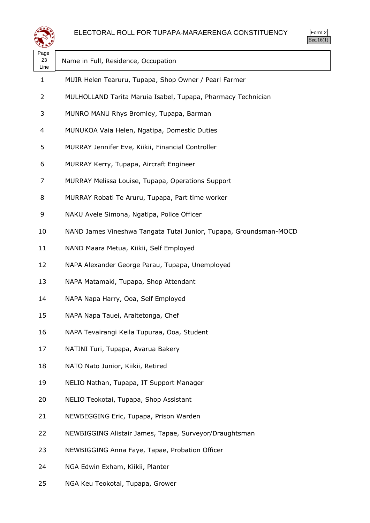

Form 2 Sec.16(1)

| Page<br>23<br>Line | Name in Full, Residence, Occupation                               |
|--------------------|-------------------------------------------------------------------|
| 1                  | MUIR Helen Tearuru, Tupapa, Shop Owner / Pearl Farmer             |
| 2                  | MULHOLLAND Tarita Maruia Isabel, Tupapa, Pharmacy Technician      |
| 3                  | MUNRO MANU Rhys Bromley, Tupapa, Barman                           |
| 4                  | MUNUKOA Vaia Helen, Ngatipa, Domestic Duties                      |
| 5                  | MURRAY Jennifer Eve, Kiikii, Financial Controller                 |
| 6                  | MURRAY Kerry, Tupapa, Aircraft Engineer                           |
| 7                  | MURRAY Melissa Louise, Tupapa, Operations Support                 |
| 8                  | MURRAY Robati Te Aruru, Tupapa, Part time worker                  |
| 9                  | NAKU Avele Simona, Ngatipa, Police Officer                        |
| 10                 | NAND James Vineshwa Tangata Tutai Junior, Tupapa, Groundsman-MOCD |
| 11                 | NAND Maara Metua, Kiikii, Self Employed                           |
| 12                 | NAPA Alexander George Parau, Tupapa, Unemployed                   |
| 13                 | NAPA Matamaki, Tupapa, Shop Attendant                             |
| 14                 | NAPA Napa Harry, Ooa, Self Employed                               |
| 15                 | NAPA Napa Tauei, Araitetonga, Chef                                |
| 16                 | NAPA Tevairangi Keila Tupuraa, Ooa, Student                       |
| 17                 | NATINI Turi, Tupapa, Avarua Bakery                                |
| 18                 | NATO Nato Junior, Kiikii, Retired                                 |
| 19                 | NELIO Nathan, Tupapa, IT Support Manager                          |
| 20                 | NELIO Teokotai, Tupapa, Shop Assistant                            |
| 21                 | NEWBEGGING Eric, Tupapa, Prison Warden                            |
| 22                 | NEWBIGGING Alistair James, Tapae, Surveyor/Draughtsman            |
| 23                 | NEWBIGGING Anna Faye, Tapae, Probation Officer                    |
| 24                 | NGA Edwin Exham, Kiikii, Planter                                  |
| 25                 | NGA Keu Teokotai, Tupapa, Grower                                  |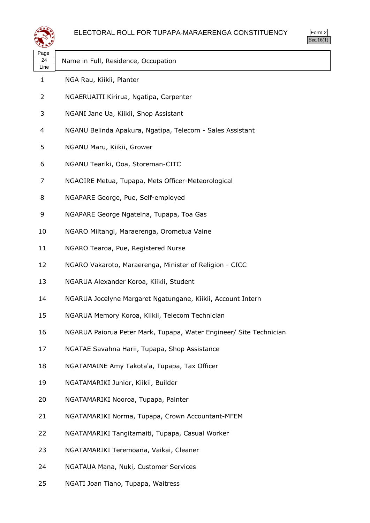



| Page<br>24<br>Line | Name in Full, Residence, Occupation                                |
|--------------------|--------------------------------------------------------------------|
| 1                  | NGA Rau, Kiikii, Planter                                           |
| 2                  | NGAERUAITI Kirirua, Ngatipa, Carpenter                             |
| 3                  | NGANI Jane Ua, Kiikii, Shop Assistant                              |
| 4                  | NGANU Belinda Apakura, Ngatipa, Telecom - Sales Assistant          |
| 5                  | NGANU Maru, Kiikii, Grower                                         |
| 6                  | NGANU Teariki, Ooa, Storeman-CITC                                  |
| 7                  | NGAOIRE Metua, Tupapa, Mets Officer-Meteorological                 |
| 8                  | NGAPARE George, Pue, Self-employed                                 |
| 9                  | NGAPARE George Ngateina, Tupapa, Toa Gas                           |
| 10                 | NGARO Miitangi, Maraerenga, Orometua Vaine                         |
| 11                 | NGARO Tearoa, Pue, Registered Nurse                                |
| 12                 | NGARO Vakaroto, Maraerenga, Minister of Religion - CICC            |
| 13                 | NGARUA Alexander Koroa, Kiikii, Student                            |
| 14                 | NGARUA Jocelyne Margaret Ngatungane, Kiikii, Account Intern        |
| 15                 | NGARUA Memory Koroa, Kiikii, Telecom Technician                    |
| 16                 | NGARUA Paiorua Peter Mark, Tupapa, Water Engineer/ Site Technician |
| 17                 | NGATAE Savahna Harii, Tupapa, Shop Assistance                      |
| 18                 | NGATAMAINE Amy Takota'a, Tupapa, Tax Officer                       |
| 19                 | NGATAMARIKI Junior, Kiikii, Builder                                |
| 20                 | NGATAMARIKI Nooroa, Tupapa, Painter                                |
| 21                 | NGATAMARIKI Norma, Tupapa, Crown Accountant-MFEM                   |
| 22                 | NGATAMARIKI Tangitamaiti, Tupapa, Casual Worker                    |
| 23                 | NGATAMARIKI Teremoana, Vaikai, Cleaner                             |
| 24                 | NGATAUA Mana, Nuki, Customer Services                              |

NGATI Joan Tiano, Tupapa, Waitress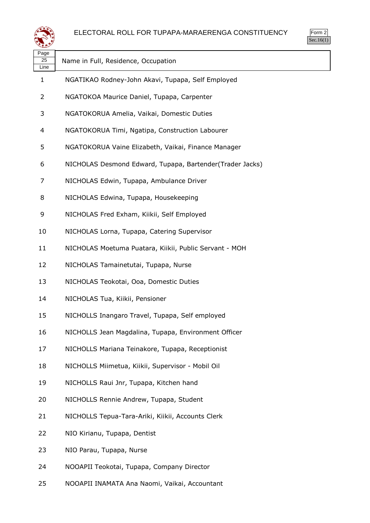



| Page<br>25<br>Line | Name in Full, Residence, Occupation                      |
|--------------------|----------------------------------------------------------|
| 1                  | NGATIKAO Rodney-John Akavi, Tupapa, Self Employed        |
| 2                  | NGATOKOA Maurice Daniel, Tupapa, Carpenter               |
| 3                  | NGATOKORUA Amelia, Vaikai, Domestic Duties               |
| 4                  | NGATOKORUA Timi, Ngatipa, Construction Labourer          |
| 5                  | NGATOKORUA Vaine Elizabeth, Vaikai, Finance Manager      |
| 6                  | NICHOLAS Desmond Edward, Tupapa, Bartender(Trader Jacks) |
| 7                  | NICHOLAS Edwin, Tupapa, Ambulance Driver                 |
| 8                  | NICHOLAS Edwina, Tupapa, Housekeeping                    |
| 9                  | NICHOLAS Fred Exham, Kiikii, Self Employed               |
| 10                 | NICHOLAS Lorna, Tupapa, Catering Supervisor              |
| 11                 | NICHOLAS Moetuma Puatara, Kiikii, Public Servant - MOH   |
| 12                 | NICHOLAS Tamainetutai, Tupapa, Nurse                     |
| 13                 | NICHOLAS Teokotai, Ooa, Domestic Duties                  |
| 14                 | NICHOLAS Tua, Kiikii, Pensioner                          |
| 15                 | NICHOLLS Inangaro Travel, Tupapa, Self employed          |
| 16                 | NICHOLLS Jean Magdalina, Tupapa, Environment Officer     |
| 17                 | NICHOLLS Mariana Teinakore, Tupapa, Receptionist         |
| 18                 | NICHOLLS Miimetua, Kiikii, Supervisor - Mobil Oil        |
| 19                 | NICHOLLS Raui Jnr, Tupapa, Kitchen hand                  |
| 20                 | NICHOLLS Rennie Andrew, Tupapa, Student                  |
| 21                 | NICHOLLS Tepua-Tara-Ariki, Kiikii, Accounts Clerk        |
| 22                 | NIO Kirianu, Tupapa, Dentist                             |
| 23                 | NIO Parau, Tupapa, Nurse                                 |
| 24                 | NOOAPII Teokotai, Tupapa, Company Director               |
|                    |                                                          |

NOOAPII INAMATA Ana Naomi, Vaikai, Accountant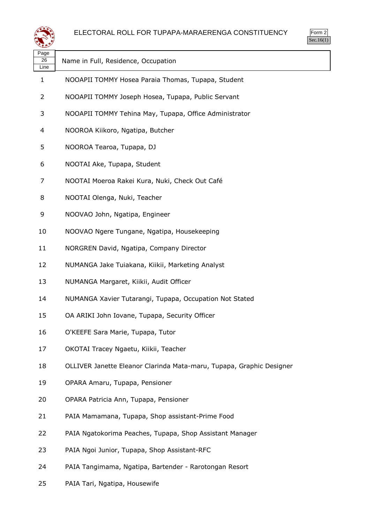

Form 2 Sec.16(1)

| Page<br>26 | Name in Full, Residence, Occupation                                  |
|------------|----------------------------------------------------------------------|
| Line       |                                                                      |
| 1          | NOOAPII TOMMY Hosea Paraia Thomas, Tupapa, Student                   |
| 2          | NOOAPII TOMMY Joseph Hosea, Tupapa, Public Servant                   |
| 3          | NOOAPII TOMMY Tehina May, Tupapa, Office Administrator               |
| 4          | NOOROA Kiikoro, Ngatipa, Butcher                                     |
| 5          | NOOROA Tearoa, Tupapa, DJ                                            |
| 6          | NOOTAI Ake, Tupapa, Student                                          |
| 7          | NOOTAI Moeroa Rakei Kura, Nuki, Check Out Café                       |
| 8          | NOOTAI Olenga, Nuki, Teacher                                         |
| 9          | NOOVAO John, Ngatipa, Engineer                                       |
| 10         | NOOVAO Ngere Tungane, Ngatipa, Housekeeping                          |
| 11         | NORGREN David, Ngatipa, Company Director                             |
| 12         | NUMANGA Jake Tuiakana, Kiikii, Marketing Analyst                     |
| 13         | NUMANGA Margaret, Kiikii, Audit Officer                              |
| 14         | NUMANGA Xavier Tutarangi, Tupapa, Occupation Not Stated              |
| 15         | OA ARIKI John Iovane, Tupapa, Security Officer                       |
| 16         | O'KEEFE Sara Marie, Tupapa, Tutor                                    |
| 17         | OKOTAI Tracey Ngaetu, Kiikii, Teacher                                |
| 18         | OLLIVER Janette Eleanor Clarinda Mata-maru, Tupapa, Graphic Designer |
| 19         | OPARA Amaru, Tupapa, Pensioner                                       |
| 20         | OPARA Patricia Ann, Tupapa, Pensioner                                |
| 21         | PAIA Mamamana, Tupapa, Shop assistant-Prime Food                     |
| 22         | PAIA Ngatokorima Peaches, Tupapa, Shop Assistant Manager             |
| 23         | PAIA Ngoi Junior, Tupapa, Shop Assistant-RFC                         |
| 24         | PAIA Tangimama, Ngatipa, Bartender - Rarotongan Resort               |

PAIA Tari, Ngatipa, Housewife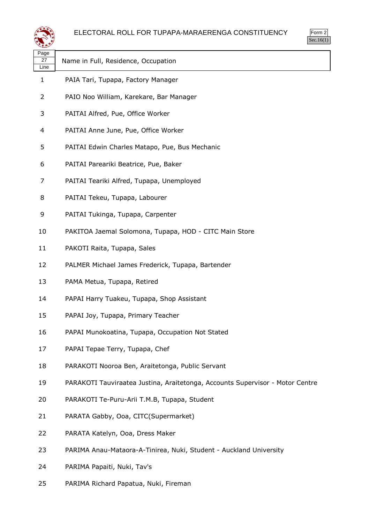

| لتستعيثا           |                                                                               |
|--------------------|-------------------------------------------------------------------------------|
| Page<br>27<br>Line | Name in Full, Residence, Occupation                                           |
| $\mathbf{1}$       | PAIA Tari, Tupapa, Factory Manager                                            |
| 2                  | PAIO Noo William, Karekare, Bar Manager                                       |
| 3                  | PAITAI Alfred, Pue, Office Worker                                             |
| 4                  | PAITAI Anne June, Pue, Office Worker                                          |
| 5                  | PAITAI Edwin Charles Matapo, Pue, Bus Mechanic                                |
| 6                  | PAITAI Pareariki Beatrice, Pue, Baker                                         |
| 7                  | PAITAI Teariki Alfred, Tupapa, Unemployed                                     |
| 8                  | PAITAI Tekeu, Tupapa, Labourer                                                |
| 9                  | PAITAI Tukinga, Tupapa, Carpenter                                             |
| 10                 | PAKITOA Jaemal Solomona, Tupapa, HOD - CITC Main Store                        |
| 11                 | PAKOTI Raita, Tupapa, Sales                                                   |
| 12                 | PALMER Michael James Frederick, Tupapa, Bartender                             |
| 13                 | PAMA Metua, Tupapa, Retired                                                   |
| 14                 | PAPAI Harry Tuakeu, Tupapa, Shop Assistant                                    |
| 15                 | PAPAI Joy, Tupapa, Primary Teacher                                            |
| 16                 | PAPAI Munokoatina, Tupapa, Occupation Not Stated                              |
| 17                 | PAPAI Tepae Terry, Tupapa, Chef                                               |
| 18                 | PARAKOTI Nooroa Ben, Araitetonga, Public Servant                              |
| 19                 | PARAKOTI Tauviraatea Justina, Araitetonga, Accounts Supervisor - Motor Centre |
| 20                 | PARAKOTI Te-Puru-Arii T.M.B, Tupapa, Student                                  |
| 21                 | PARATA Gabby, Ooa, CITC(Supermarket)                                          |
| 22                 | PARATA Katelyn, Ooa, Dress Maker                                              |
| 23                 | PARIMA Anau-Mataora-A-Tinirea, Nuki, Student - Auckland University            |
| 24                 | PARIMA Papaiti, Nuki, Tav's                                                   |

PARIMA Richard Papatua, Nuki, Fireman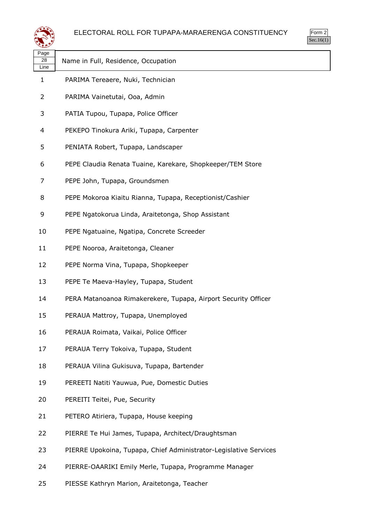



| Page          |                                     |
|---------------|-------------------------------------|
| 28            | Name in Full, Residence, Occupation |
| Line          |                                     |
| 1.            | PARIMA Tereaere, Nuki, Technician   |
| $\mathcal{L}$ | PARIMA Vainetutai, Ooa, Admin       |

- PATIA Tupou, Tupapa, Police Officer
- PEKEPO Tinokura Ariki, Tupapa, Carpenter
- PENIATA Robert, Tupapa, Landscaper
- PEPE Claudia Renata Tuaine, Karekare, Shopkeeper/TEM Store
- PEPE John, Tupapa, Groundsmen
- PEPE Mokoroa Kiaitu Rianna, Tupapa, Receptionist/Cashier
- PEPE Ngatokorua Linda, Araitetonga, Shop Assistant
- PEPE Ngatuaine, Ngatipa, Concrete Screeder
- PEPE Nooroa, Araitetonga, Cleaner
- PEPE Norma Vina, Tupapa, Shopkeeper
- PEPE Te Maeva-Hayley, Tupapa, Student
- PERA Matanoanoa Rimakerekere, Tupapa, Airport Security Officer
- PERAUA Mattroy, Tupapa, Unemployed
- PERAUA Roimata, Vaikai, Police Officer
- PERAUA Terry Tokoiva, Tupapa, Student
- PERAUA Vilina Gukisuva, Tupapa, Bartender
- PEREETI Natiti Yauwua, Pue, Domestic Duties
- PEREITI Teitei, Pue, Security
- PETERO Atiriera, Tupapa, House keeping
- PIERRE Te Hui James, Tupapa, Architect/Draughtsman
- PIERRE Upokoina, Tupapa, Chief Administrator-Legislative Services
- PIERRE-OAARIKI Emily Merle, Tupapa, Programme Manager
- PIESSE Kathryn Marion, Araitetonga, Teacher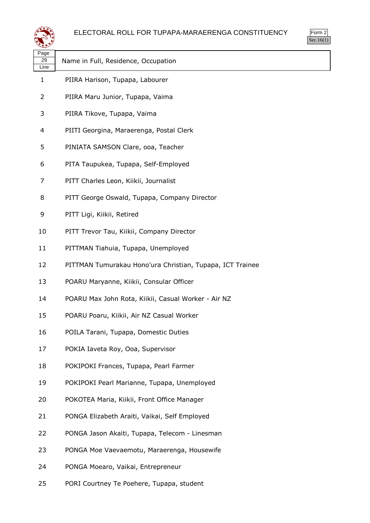

|                    | ELECTORAL ROLL FOR TUPAPA-MARAERENGA CONSTI               |
|--------------------|-----------------------------------------------------------|
| Page<br>29<br>Line | Name in Full, Residence, Occupation                       |
| 1                  | PIIRA Harison, Tupapa, Labourer                           |
| 2                  | PIIRA Maru Junior, Tupapa, Vaima                          |
| 3                  | PIIRA Tikove, Tupapa, Vaima                               |
| 4                  | PIITI Georgina, Maraerenga, Postal Clerk                  |
| 5                  | PINIATA SAMSON Clare, ooa, Teacher                        |
| 6                  | PITA Taupukea, Tupapa, Self-Employed                      |
| 7                  | PITT Charles Leon, Kiikii, Journalist                     |
| 8                  | PITT George Oswald, Tupapa, Company Director              |
| 9                  | PITT Ligi, Kiikii, Retired                                |
| 10                 | PITT Trevor Tau, Kiikii, Company Director                 |
| 11                 | PITTMAN Tiahuia, Tupapa, Unemployed                       |
| 12                 | PITTMAN Tumurakau Hono'ura Christian, Tupapa, ICT Trainee |
| 13                 | POARU Maryanne, Kiikii, Consular Officer                  |
| 14                 | POARU Max John Rota, Kiikii, Casual Worker - Air NZ       |
| 15                 | POARU Poaru, Kiikii, Air NZ Casual Worker                 |
| 16                 | POILA Tarani, Tupapa, Domestic Duties                     |
| 17                 | POKIA Iaveta Roy, Ooa, Supervisor                         |
| 18                 | POKIPOKI Frances, Tupapa, Pearl Farmer                    |
| 19                 | POKIPOKI Pearl Marianne, Tupapa, Unemployed               |
|                    |                                                           |

- POKOTEA Maria, Kiikii, Front Office Manager
- PONGA Elizabeth Araiti, Vaikai, Self Employed
- PONGA Jason Akaiti, Tupapa, Telecom Linesman

- PONGA Moe Vaevaemotu, Maraerenga, Housewife
- PONGA Moearo, Vaikai, Entrepreneur
- PORI Courtney Te Poehere, Tupapa, student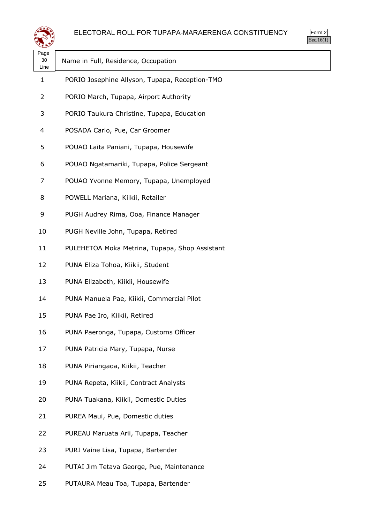



| Page<br>30<br>Line | Name in Full, Residence, Occupation            |
|--------------------|------------------------------------------------|
| $\mathbf{1}$       | PORIO Josephine Allyson, Tupapa, Reception-TMO |
| 2                  | PORIO March, Tupapa, Airport Authority         |
| 3                  | PORIO Taukura Christine, Tupapa, Education     |
| 4                  | POSADA Carlo, Pue, Car Groomer                 |
| 5                  | POUAO Laita Paniani, Tupapa, Housewife         |
| 6                  | POUAO Ngatamariki, Tupapa, Police Sergeant     |
| 7                  | POUAO Yvonne Memory, Tupapa, Unemployed        |
| 8                  | POWELL Mariana, Kiikii, Retailer               |
| 9                  | PUGH Audrey Rima, Ooa, Finance Manager         |
| 10                 | PUGH Neville John, Tupapa, Retired             |
| 11                 | PULEHETOA Moka Metrina, Tupapa, Shop Assistant |
| 12                 | PUNA Eliza Tohoa, Kiikii, Student              |
| 13                 | PUNA Elizabeth, Kiikii, Housewife              |
| 14                 | PUNA Manuela Pae, Kiikii, Commercial Pilot     |
| 15                 | PUNA Pae Iro, Kiikii, Retired                  |
| 16                 | PUNA Paeronga, Tupapa, Customs Officer         |
| 17                 | PUNA Patricia Mary, Tupapa, Nurse              |
| 18                 | PUNA Piriangaoa, Kiikii, Teacher               |
| 19                 | PUNA Repeta, Kiikii, Contract Analysts         |
| 20                 | PUNA Tuakana, Kiikii, Domestic Duties          |
| 21                 | PUREA Maui, Pue, Domestic duties               |
| 22                 | PUREAU Maruata Arii, Tupapa, Teacher           |
| 23                 | PURI Vaine Lisa, Tupapa, Bartender             |
| 24                 | PUTAI Jim Tetava George, Pue, Maintenance      |
| 25                 | PUTAURA Meau Toa, Tupapa, Bartender            |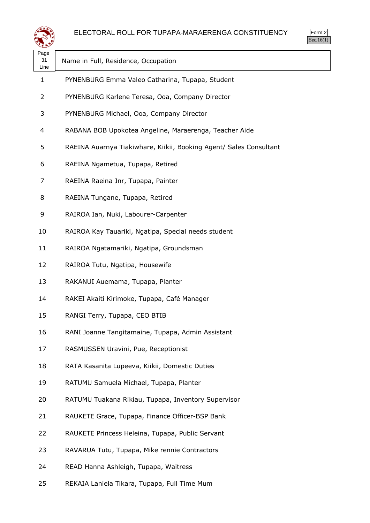

| Page<br>31<br>Line | Name in Full, Residence, Occupation                                |
|--------------------|--------------------------------------------------------------------|
| 1                  | PYNENBURG Emma Valeo Catharina, Tupapa, Student                    |
| 2                  | PYNENBURG Karlene Teresa, Ooa, Company Director                    |
| 3                  | PYNENBURG Michael, Ooa, Company Director                           |
| 4                  | RABANA BOB Upokotea Angeline, Maraerenga, Teacher Aide             |
| 5                  | RAEINA Auarnya Tiakiwhare, Kiikii, Booking Agent/ Sales Consultant |
| 6                  | RAEINA Ngametua, Tupapa, Retired                                   |
| 7                  | RAEINA Raeina Jnr, Tupapa, Painter                                 |
| 8                  | RAEINA Tungane, Tupapa, Retired                                    |
| 9                  | RAIROA Ian, Nuki, Labourer-Carpenter                               |
| 10                 | RAIROA Kay Tauariki, Ngatipa, Special needs student                |
| 11                 | RAIROA Ngatamariki, Ngatipa, Groundsman                            |
| 12                 | RAIROA Tutu, Ngatipa, Housewife                                    |
| 13                 | RAKANUI Auemama, Tupapa, Planter                                   |
| 14                 | RAKEI Akaiti Kirimoke, Tupapa, Café Manager                        |
| 15                 | RANGI Terry, Tupapa, CEO BTIB                                      |
| 16                 | RANI Joanne Tangitamaine, Tupapa, Admin Assistant                  |
| 17                 | RASMUSSEN Uravini, Pue, Receptionist                               |
| 18                 | RATA Kasanita Lupeeva, Kiikii, Domestic Duties                     |
| 19                 | RATUMU Samuela Michael, Tupapa, Planter                            |
| 20                 | RATUMU Tuakana Rikiau, Tupapa, Inventory Supervisor                |
| 21                 | RAUKETE Grace, Tupapa, Finance Officer-BSP Bank                    |
| 22                 | RAUKETE Princess Heleina, Tupapa, Public Servant                   |
| 23                 | RAVARUA Tutu, Tupapa, Mike rennie Contractors                      |
| 24                 | READ Hanna Ashleigh, Tupapa, Waitress                              |
| 25                 | REKAIA Laniela Tikara, Tupapa, Full Time Mum                       |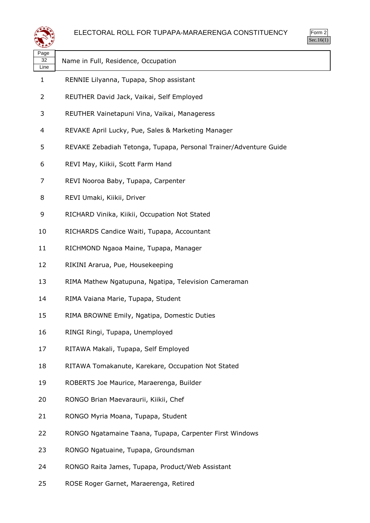



| પ≠≠≫               |                                                                   |
|--------------------|-------------------------------------------------------------------|
| Page<br>32<br>Line | Name in Full, Residence, Occupation                               |
| $\mathbf{1}$       | RENNIE Lilyanna, Tupapa, Shop assistant                           |
| 2                  | REUTHER David Jack, Vaikai, Self Employed                         |
| 3                  | REUTHER Vainetapuni Vina, Vaikai, Manageress                      |
| 4                  | REVAKE April Lucky, Pue, Sales & Marketing Manager                |
| 5                  | REVAKE Zebadiah Tetonga, Tupapa, Personal Trainer/Adventure Guide |
| 6                  | REVI May, Kiikii, Scott Farm Hand                                 |
| 7                  | REVI Nooroa Baby, Tupapa, Carpenter                               |
| 8                  | REVI Umaki, Kiikii, Driver                                        |
| 9                  | RICHARD Vinika, Kiikii, Occupation Not Stated                     |
| 10                 | RICHARDS Candice Waiti, Tupapa, Accountant                        |
| 11                 | RICHMOND Ngaoa Maine, Tupapa, Manager                             |
| 12                 | RIKINI Ararua, Pue, Housekeeping                                  |
| 13                 | RIMA Mathew Ngatupuna, Ngatipa, Television Cameraman              |
| 14                 | RIMA Vaiana Marie, Tupapa, Student                                |
| 15                 | RIMA BROWNE Emily, Ngatipa, Domestic Duties                       |
| 16                 | RINGI Ringi, Tupapa, Unemployed                                   |
| 17                 | RITAWA Makali, Tupapa, Self Employed                              |
| 18                 | RITAWA Tomakanute, Karekare, Occupation Not Stated                |
| 19                 | ROBERTS Joe Maurice, Maraerenga, Builder                          |
| 20                 | RONGO Brian Maevaraurii, Kiikii, Chef                             |
| 21                 | RONGO Myria Moana, Tupapa, Student                                |
| 22                 | RONGO Ngatamaine Taana, Tupapa, Carpenter First Windows           |
| 23                 | RONGO Ngatuaine, Tupapa, Groundsman                               |
| 24                 | RONGO Raita James, Tupapa, Product/Web Assistant                  |
| 25                 | ROSE Roger Garnet, Maraerenga, Retired                            |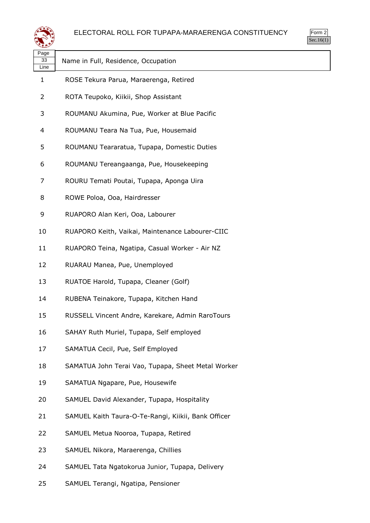



| ∼<br>Page<br>33 | Name in Full, Residence, Occupation                 |
|-----------------|-----------------------------------------------------|
| Line<br>1       | ROSE Tekura Parua, Maraerenga, Retired              |
| 2               |                                                     |
|                 | ROTA Teupoko, Kiikii, Shop Assistant                |
| 3               | ROUMANU Akumina, Pue, Worker at Blue Pacific        |
| 4               | ROUMANU Teara Na Tua, Pue, Housemaid                |
| 5               | ROUMANU Teararatua, Tupapa, Domestic Duties         |
| 6               | ROUMANU Tereangaanga, Pue, Housekeeping             |
| 7               | ROURU Temati Poutai, Tupapa, Aponga Uira            |
| 8               | ROWE Poloa, Ooa, Hairdresser                        |
| 9               | RUAPORO Alan Keri, Ooa, Labourer                    |
| 10              | RUAPORO Keith, Vaikai, Maintenance Labourer-CIIC    |
| 11              | RUAPORO Teina, Ngatipa, Casual Worker - Air NZ      |
| 12              | RUARAU Manea, Pue, Unemployed                       |
| 13              | RUATOE Harold, Tupapa, Cleaner (Golf)               |
| 14              | RUBENA Teinakore, Tupapa, Kitchen Hand              |
| 15              | RUSSELL Vincent Andre, Karekare, Admin RaroTours    |
| 16              | SAHAY Ruth Muriel, Tupapa, Self employed            |
| 17              | SAMATUA Cecil, Pue, Self Employed                   |
| 18              | SAMATUA John Terai Vao, Tupapa, Sheet Metal Worker  |
| 19              | SAMATUA Ngapare, Pue, Housewife                     |
| 20              | SAMUEL David Alexander, Tupapa, Hospitality         |
| 21              | SAMUEL Kaith Taura-O-Te-Rangi, Kiikii, Bank Officer |
| 22              | SAMUEL Metua Nooroa, Tupapa, Retired                |
| 23              | SAMUEL Nikora, Maraerenga, Chillies                 |
| 24              | SAMUEL Tata Ngatokorua Junior, Tupapa, Delivery     |

SAMUEL Terangi, Ngatipa, Pensioner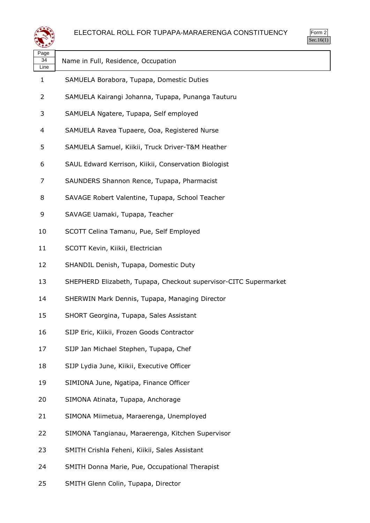



| Page<br>34<br>Line | Name in Full, Residence, Occupation                              |
|--------------------|------------------------------------------------------------------|
| $\mathbf{1}$       | SAMUELA Borabora, Tupapa, Domestic Duties                        |
| 2                  | SAMUELA Kairangi Johanna, Tupapa, Punanga Tauturu                |
| 3                  | SAMUELA Ngatere, Tupapa, Self employed                           |
| 4                  | SAMUELA Ravea Tupaere, Ooa, Registered Nurse                     |
| 5                  | SAMUELA Samuel, Kiikii, Truck Driver-T&M Heather                 |
| 6                  | SAUL Edward Kerrison, Kiikii, Conservation Biologist             |
| 7                  | SAUNDERS Shannon Rence, Tupapa, Pharmacist                       |
| 8                  | SAVAGE Robert Valentine, Tupapa, School Teacher                  |
| 9                  | SAVAGE Uamaki, Tupapa, Teacher                                   |
| 10                 | SCOTT Celina Tamanu, Pue, Self Employed                          |
| 11                 | SCOTT Kevin, Kiikii, Electrician                                 |
| 12                 | SHANDIL Denish, Tupapa, Domestic Duty                            |
| 13                 | SHEPHERD Elizabeth, Tupapa, Checkout supervisor-CITC Supermarket |
| 14                 | SHERWIN Mark Dennis, Tupapa, Managing Director                   |
| 15                 | SHORT Georgina, Tupapa, Sales Assistant                          |
| 16                 | SIJP Eric, Kiikii, Frozen Goods Contractor                       |
| 17                 | SIJP Jan Michael Stephen, Tupapa, Chef                           |
| 18                 | SIJP Lydia June, Kiikii, Executive Officer                       |
| 19                 | SIMIONA June, Ngatipa, Finance Officer                           |
| 20                 | SIMONA Atinata, Tupapa, Anchorage                                |
| 21                 | SIMONA Miimetua, Maraerenga, Unemployed                          |
| 22                 | SIMONA Tangianau, Maraerenga, Kitchen Supervisor                 |
| 23                 | SMITH Crishla Feheni, Kiikii, Sales Assistant                    |
| 24                 | SMITH Donna Marie, Pue, Occupational Therapist                   |
|                    |                                                                  |

SMITH Glenn Colin, Tupapa, Director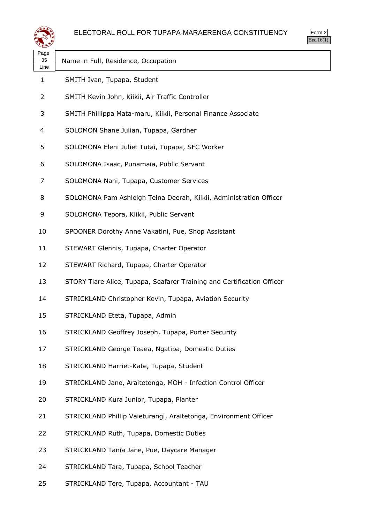



| age |
|-----|
|     |

**REAR** 

Line

Name in Full, Residence, Occupation

- SMITH Ivan, Tupapa, Student
- SMITH Kevin John, Kiikii, Air Traffic Controller
- SMITH Phillippa Mata-maru, Kiikii, Personal Finance Associate
- SOLOMON Shane Julian, Tupapa, Gardner
- SOLOMONA Eleni Juliet Tutai, Tupapa, SFC Worker
- SOLOMONA Isaac, Punamaia, Public Servant
- SOLOMONA Nani, Tupapa, Customer Services
- SOLOMONA Pam Ashleigh Teina Deerah, Kiikii, Administration Officer
- SOLOMONA Tepora, Kiikii, Public Servant
- SPOONER Dorothy Anne Vakatini, Pue, Shop Assistant
- STEWART Glennis, Tupapa, Charter Operator
- STEWART Richard, Tupapa, Charter Operator
- STORY Tiare Alice, Tupapa, Seafarer Training and Certification Officer
- STRICKLAND Christopher Kevin, Tupapa, Aviation Security
- STRICKLAND Eteta, Tupapa, Admin
- STRICKLAND Geoffrey Joseph, Tupapa, Porter Security
- STRICKLAND George Teaea, Ngatipa, Domestic Duties
- STRICKLAND Harriet-Kate, Tupapa, Student
- STRICKLAND Jane, Araitetonga, MOH Infection Control Officer
- STRICKLAND Kura Junior, Tupapa, Planter
- STRICKLAND Phillip Vaieturangi, Araitetonga, Environment Officer
- STRICKLAND Ruth, Tupapa, Domestic Duties
- STRICKLAND Tania Jane, Pue, Daycare Manager
- STRICKLAND Tara, Tupapa, School Teacher
- STRICKLAND Tere, Tupapa, Accountant TAU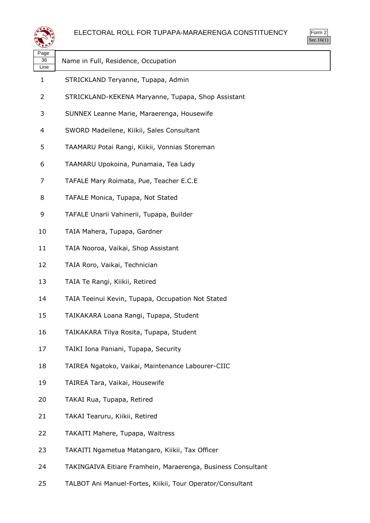



| પ≠≠≫               |                                                              |
|--------------------|--------------------------------------------------------------|
| Page<br>36<br>Line | Name in Full, Residence, Occupation                          |
| $\mathbf{1}$       | STRICKLAND Teryanne, Tupapa, Admin                           |
| $\overline{2}$     | STRICKLAND-KEKENA Maryanne, Tupapa, Shop Assistant           |
| 3                  | SUNNEX Leanne Marie, Maraerenga, Housewife                   |
| 4                  | SWORD Madeilene, Kiikii, Sales Consultant                    |
| 5                  | TAAMARU Potai Rangi, Kiikii, Vonnias Storeman                |
| 6                  | TAAMARU Upokoina, Punamaia, Tea Lady                         |
| 7                  | TAFALE Mary Roimata, Pue, Teacher E.C.E                      |
| 8                  | TAFALE Monica, Tupapa, Not Stated                            |
| 9                  | TAFALE Unarii Vahinerii, Tupapa, Builder                     |
| 10                 | TAIA Mahera, Tupapa, Gardner                                 |
| 11                 | TAIA Nooroa, Vaikai, Shop Assistant                          |
| 12                 | TAIA Roro, Vaikai, Technician                                |
| 13                 | TAIA Te Rangi, Kiikii, Retired                               |
| 14                 | TAIA Teeinui Kevin, Tupapa, Occupation Not Stated            |
| 15                 | TAIKAKARA Loana Rangi, Tupapa, Student                       |
| 16                 | TAIKAKARA Tilya Rosita, Tupapa, Student                      |
| 17                 | TAIKI Iona Paniani, Tupapa, Security                         |
| 18                 | TAIREA Ngatoko, Vaikai, Maintenance Labourer-CIIC            |
| 19                 | TAIREA Tara, Vaikai, Housewife                               |
| 20                 | TAKAI Rua, Tupapa, Retired                                   |
| 21                 | TAKAI Tearuru, Kiikii, Retired                               |
| 22                 | TAKAITI Mahere, Tupapa, Waitress                             |
| 23                 | TAKAITI Ngametua Matangaro, Kiikii, Tax Officer              |
| 24                 | TAKINGAIVA Eitiare Framhein, Maraerenga, Business Consultant |
|                    |                                                              |

TALBOT Ani Manuel-Fortes, Kiikii, Tour Operator/Consultant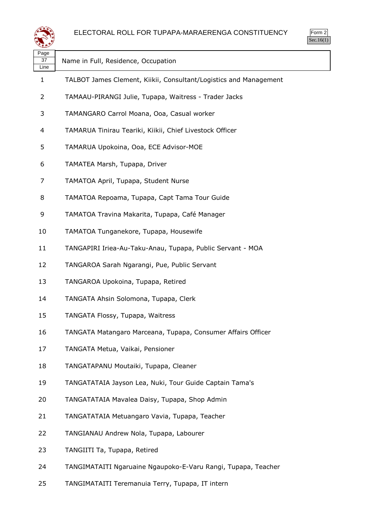



| Page<br>37<br>Line | Name in Full, Residence, Occupation                               |
|--------------------|-------------------------------------------------------------------|
| $\mathbf{1}$       | TALBOT James Clement, Kiikii, Consultant/Logistics and Management |
| 2                  | TAMAAU-PIRANGI Julie, Tupapa, Waitress - Trader Jacks             |
| 3                  | TAMANGARO Carrol Moana, Ooa, Casual worker                        |
| 4                  | TAMARUA Tinirau Teariki, Kiikii, Chief Livestock Officer          |
| 5                  | TAMARUA Upokoina, Ooa, ECE Advisor-MOE                            |
| 6                  | TAMATEA Marsh, Tupapa, Driver                                     |
| 7                  | TAMATOA April, Tupapa, Student Nurse                              |
| 8                  | TAMATOA Repoama, Tupapa, Capt Tama Tour Guide                     |
| 9                  | TAMATOA Travina Makarita, Tupapa, Café Manager                    |
| 10                 | TAMATOA Tunganekore, Tupapa, Housewife                            |
| 11                 | TANGAPIRI Iriea-Au-Taku-Anau, Tupapa, Public Servant - MOA        |
| 12                 | TANGAROA Sarah Ngarangi, Pue, Public Servant                      |
| 13                 | TANGAROA Upokoina, Tupapa, Retired                                |
| 14                 | TANGATA Ahsin Solomona, Tupapa, Clerk                             |
| 15                 | TANGATA Flossy, Tupapa, Waitress                                  |
| 16                 | TANGATA Matangaro Marceana, Tupapa, Consumer Affairs Officer      |
| 17                 | TANGATA Metua, Vaikai, Pensioner                                  |
| 18                 | TANGATAPANU Moutaiki, Tupapa, Cleaner                             |
| 19                 | TANGATATAIA Jayson Lea, Nuki, Tour Guide Captain Tama's           |
| 20                 | TANGATATAIA Mavalea Daisy, Tupapa, Shop Admin                     |
| 21                 | TANGATATAIA Metuangaro Vavia, Tupapa, Teacher                     |
| 22                 | TANGIANAU Andrew Nola, Tupapa, Labourer                           |
| 23                 | TANGIITI Ta, Tupapa, Retired                                      |
| 24                 | TANGIMATAITI Ngaruaine Ngaupoko-E-Varu Rangi, Tupapa, Teacher     |
|                    |                                                                   |

TANGIMATAITI Teremanuia Terry, Tupapa, IT intern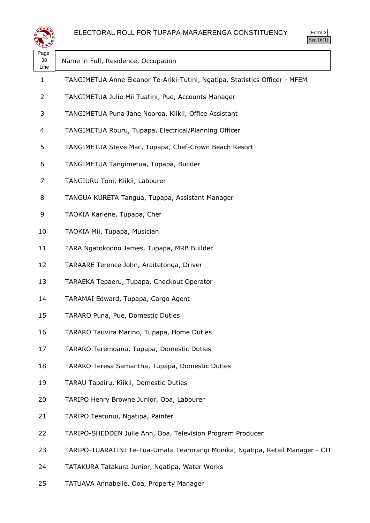

| Page<br>38<br>Line | Name in Full, Residence, Occupation                                            |
|--------------------|--------------------------------------------------------------------------------|
| 1                  | TANGIMETUA Anne Eleanor Te-Ariki-Tutini, Ngatipa, Statistics Officer - MFEM    |
| 2                  | TANGIMETUA Julie Mii Tuatini, Pue, Accounts Manager                            |
| 3                  | TANGIMETUA Puna Jane Nooroa, Kiikii, Office Assistant                          |
| 4                  | TANGIMETUA Rouru, Tupapa, Electrical/Planning Officer                          |
| 5                  | TANGIMETUA Steve Mac, Tupapa, Chef-Crown Beach Resort                          |
| 6                  | TANGIMETUA Tangimetua, Tupapa, Builder                                         |
| 7                  | TANGIURU Toni, Kiikii, Labourer                                                |
| 8                  | TANGUA KURETA Tangua, Tupapa, Assistant Manager                                |
| 9                  | TAOKIA Karlene, Tupapa, Chef                                                   |
| 10                 | TAOKIA Mii, Tupapa, Musician                                                   |
| 11                 | TARA Ngatokoono James, Tupapa, MRB Builder                                     |
| 12                 | TARAARE Terence John, Araitetonga, Driver                                      |
| 13                 | TARAEKA Tepaeru, Tupapa, Checkout Operator                                     |
| 14                 | TARAMAI Edward, Tupapa, Cargo Agent                                            |
| 15                 | TARARO Puna, Pue, Domestic Duties                                              |
| 16                 | TARARO Tauvira Marino, Tupapa, Home Duties                                     |
| 17                 | TARARO Teremoana, Tupapa, Domestic Duties                                      |
| 18                 | TARARO Teresa Samantha, Tupapa, Domestic Duties                                |
| 19                 | TARAU Tapairu, Kiikii, Domestic Duties                                         |
| 20                 | TARIPO Henry Browne Junior, Ooa, Labourer                                      |
| 21                 | TARIPO Teatunui, Ngatipa, Painter                                              |
| 22                 | TARIPO-SHEDDEN Julie Ann, Ooa, Television Program Producer                     |
| 23                 | TARIPO-TUARATINI Te-Tua-Umata Tearorangi Monika, Ngatipa, Retail Manager - CIT |
| 24                 | TATAKURA Tatakura Junior, Ngatipa, Water Works                                 |
|                    |                                                                                |

TATUAVA Annabelle, Ooa, Property Manager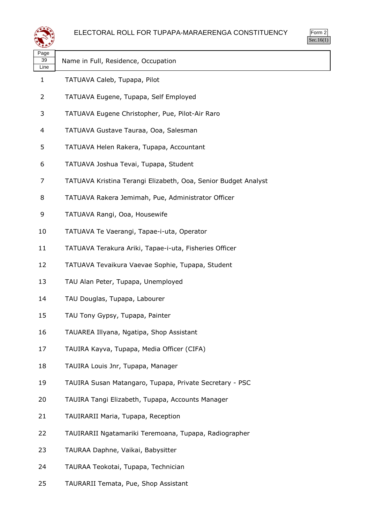#### ELECTORAL ROLL FOR TUPAPA-MARAERENGA CONSTITUENCY



| ≍±≠                |                                                                |
|--------------------|----------------------------------------------------------------|
| Page<br>39<br>Line | Name in Full, Residence, Occupation                            |
| $\mathbf{1}$       | TATUAVA Caleb, Tupapa, Pilot                                   |
| 2                  | TATUAVA Eugene, Tupapa, Self Employed                          |
| 3                  | TATUAVA Eugene Christopher, Pue, Pilot-Air Raro                |
| 4                  | TATUAVA Gustave Tauraa, Ooa, Salesman                          |
| 5                  | TATUAVA Helen Rakera, Tupapa, Accountant                       |
| 6                  | TATUAVA Joshua Tevai, Tupapa, Student                          |
| 7                  | TATUAVA Kristina Terangi Elizabeth, Ooa, Senior Budget Analyst |
| 8                  | TATUAVA Rakera Jemimah, Pue, Administrator Officer             |
| 9                  | TATUAVA Rangi, Ooa, Housewife                                  |
| 10                 | TATUAVA Te Vaerangi, Tapae-i-uta, Operator                     |
| 11                 | TATUAVA Terakura Ariki, Tapae-i-uta, Fisheries Officer         |
| 12                 | TATUAVA Tevaikura Vaevae Sophie, Tupapa, Student               |
| 13                 | TAU Alan Peter, Tupapa, Unemployed                             |
| 14                 | TAU Douglas, Tupapa, Labourer                                  |
| 15                 | TAU Tony Gypsy, Tupapa, Painter                                |
| 16                 | TAUAREA Illyana, Ngatipa, Shop Assistant                       |
| 17                 | TAUIRA Kayva, Tupapa, Media Officer (CIFA)                     |
| 18                 | TAUIRA Louis Jnr, Tupapa, Manager                              |
| 19                 | TAUIRA Susan Matangaro, Tupapa, Private Secretary - PSC        |
| 20                 | TAUIRA Tangi Elizabeth, Tupapa, Accounts Manager               |
| 21                 | TAUIRARII Maria, Tupapa, Reception                             |
| 22                 | TAUIRARII Ngatamariki Teremoana, Tupapa, Radiographer          |
| 23                 | TAURAA Daphne, Vaikai, Babysitter                              |
| 24                 | TAURAA Teokotai, Tupapa, Technician                            |
| 25                 | TAURARII Temata, Pue, Shop Assistant                           |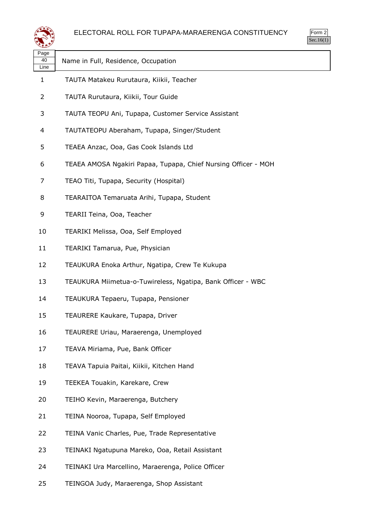



| رويعة              |                                                                | 000.10 |
|--------------------|----------------------------------------------------------------|--------|
| Page<br>40<br>Line | Name in Full, Residence, Occupation                            |        |
| 1                  | TAUTA Matakeu Rurutaura, Kiikii, Teacher                       |        |
| 2                  | TAUTA Rurutaura, Kiikii, Tour Guide                            |        |
| 3                  | TAUTA TEOPU Ani, Tupapa, Customer Service Assistant            |        |
| $\overline{4}$     | TAUTATEOPU Aberaham, Tupapa, Singer/Student                    |        |
| 5                  | TEAEA Anzac, Ooa, Gas Cook Islands Ltd                         |        |
| 6                  | TEAEA AMOSA Ngakiri Papaa, Tupapa, Chief Nursing Officer - MOH |        |
| 7                  | TEAO Titi, Tupapa, Security (Hospital)                         |        |
| 8                  | TEARAITOA Temaruata Arihi, Tupapa, Student                     |        |
| 9                  | TEARII Teina, Ooa, Teacher                                     |        |
| 10                 | TEARIKI Melissa, Ooa, Self Employed                            |        |
| 11                 | TEARIKI Tamarua, Pue, Physician                                |        |
| 12                 | TEAUKURA Enoka Arthur, Ngatipa, Crew Te Kukupa                 |        |
| 13                 | TEAUKURA Miimetua-o-Tuwireless, Ngatipa, Bank Officer - WBC    |        |
| 14                 | TEAUKURA Tepaeru, Tupapa, Pensioner                            |        |
| 15                 | TEAURERE Kaukare, Tupapa, Driver                               |        |
| 16                 | TEAURERE Uriau, Maraerenga, Unemployed                         |        |
| 17                 | TEAVA Miriama, Pue, Bank Officer                               |        |
| 18                 | TEAVA Tapuia Paitai, Kiikii, Kitchen Hand                      |        |
| 19                 | TEEKEA Touakin, Karekare, Crew                                 |        |
| 20                 | TEIHO Kevin, Maraerenga, Butchery                              |        |
| 21                 | TEINA Nooroa, Tupapa, Self Employed                            |        |
| 22                 | TEINA Vanic Charles, Pue, Trade Representative                 |        |
| 23                 | TEINAKI Ngatupuna Mareko, Ooa, Retail Assistant                |        |
| 24                 | TEINAKI Ura Marcellino, Maraerenga, Police Officer             |        |

TEINGOA Judy, Maraerenga, Shop Assistant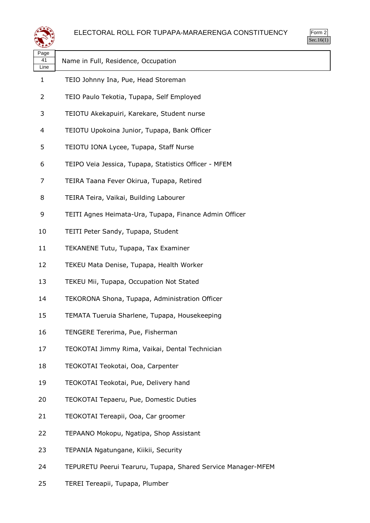



| ∼                        |                                                              |
|--------------------------|--------------------------------------------------------------|
| Page<br>41<br>Line       | Name in Full, Residence, Occupation                          |
| 1                        | TEIO Johnny Ina, Pue, Head Storeman                          |
| 2                        | TEIO Paulo Tekotia, Tupapa, Self Employed                    |
| 3                        | TEIOTU Akekapuiri, Karekare, Student nurse                   |
| $\overline{\mathcal{A}}$ | TEIOTU Upokoina Junior, Tupapa, Bank Officer                 |
| 5                        | TEIOTU IONA Lycee, Tupapa, Staff Nurse                       |
| 6                        | TEIPO Veia Jessica, Tupapa, Statistics Officer - MFEM        |
| 7                        | TEIRA Taana Fever Okirua, Tupapa, Retired                    |
| 8                        | TEIRA Teira, Vaikai, Building Labourer                       |
| 9                        | TEITI Agnes Heimata-Ura, Tupapa, Finance Admin Officer       |
| 10                       | TEITI Peter Sandy, Tupapa, Student                           |
| 11                       | TEKANENE Tutu, Tupapa, Tax Examiner                          |
| 12                       | TEKEU Mata Denise, Tupapa, Health Worker                     |
| 13                       | TEKEU Mii, Tupapa, Occupation Not Stated                     |
| 14                       | TEKORONA Shona, Tupapa, Administration Officer               |
| 15                       | TEMATA Tueruia Sharlene, Tupapa, Housekeeping                |
| 16                       | TENGERE Tererima, Pue, Fisherman                             |
| 17                       | TEOKOTAI Jimmy Rima, Vaikai, Dental Technician               |
| 18                       | TEOKOTAI Teokotai, Ooa, Carpenter                            |
| 19                       | TEOKOTAI Teokotai, Pue, Delivery hand                        |
| 20                       | TEOKOTAI Tepaeru, Pue, Domestic Duties                       |
| 21                       | TEOKOTAI Tereapii, Ooa, Car groomer                          |
| 22                       | TEPAANO Mokopu, Ngatipa, Shop Assistant                      |
| 23                       | TEPANIA Ngatungane, Kiikii, Security                         |
| 24                       | TEPURETU Peerui Tearuru, Tupapa, Shared Service Manager-MFEM |

TEREI Tereapii, Tupapa, Plumber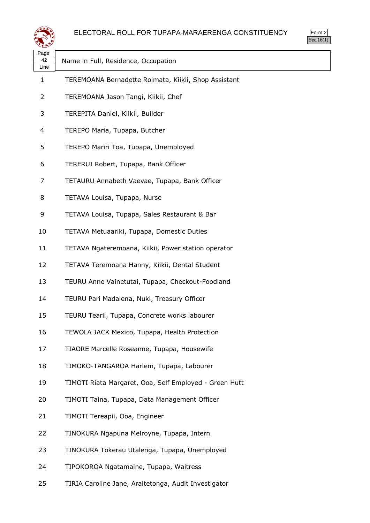

Form 2 Sec.16(1)

| حصو                |                                                        |
|--------------------|--------------------------------------------------------|
| Page<br>42<br>Line | Name in Full, Residence, Occupation                    |
| 1                  | TEREMOANA Bernadette Roimata, Kiikii, Shop Assistant   |
| $\overline{2}$     | TEREMOANA Jason Tangi, Kiikii, Chef                    |
| 3                  | TEREPITA Daniel, Kiikii, Builder                       |
| 4                  | TEREPO Maria, Tupapa, Butcher                          |
| 5                  | TEREPO Mariri Toa, Tupapa, Unemployed                  |
| 6                  | TERERUI Robert, Tupapa, Bank Officer                   |
| 7                  | TETAURU Annabeth Vaevae, Tupapa, Bank Officer          |
| 8                  | TETAVA Louisa, Tupapa, Nurse                           |
| 9                  | TETAVA Louisa, Tupapa, Sales Restaurant & Bar          |
| 10                 | TETAVA Metuaariki, Tupapa, Domestic Duties             |
| 11                 | TETAVA Ngateremoana, Kiikii, Power station operator    |
| 12                 | TETAVA Teremoana Hanny, Kiikii, Dental Student         |
| 13                 | TEURU Anne Vainetutai, Tupapa, Checkout-Foodland       |
| 14                 | TEURU Pari Madalena, Nuki, Treasury Officer            |
| 15                 | TEURU Tearii, Tupapa, Concrete works labourer          |
| 16                 | TEWOLA JACK Mexico, Tupapa, Health Protection          |
| 17                 | TIAORE Marcelle Roseanne, Tupapa, Housewife            |
| 18                 | TIMOKO-TANGAROA Harlem, Tupapa, Labourer               |
| 19                 | TIMOTI Riata Margaret, Ooa, Self Employed - Green Hutt |
| 20                 | TIMOTI Taina, Tupapa, Data Management Officer          |
| 21                 | TIMOTI Tereapii, Ooa, Engineer                         |
| 22                 | TINOKURA Ngapuna Melroyne, Tupapa, Intern              |
| 23                 | TINOKURA Tokerau Utalenga, Tupapa, Unemployed          |
| 24                 | TIPOKOROA Ngatamaine, Tupapa, Waitress                 |
|                    |                                                        |

TIRIA Caroline Jane, Araitetonga, Audit Investigator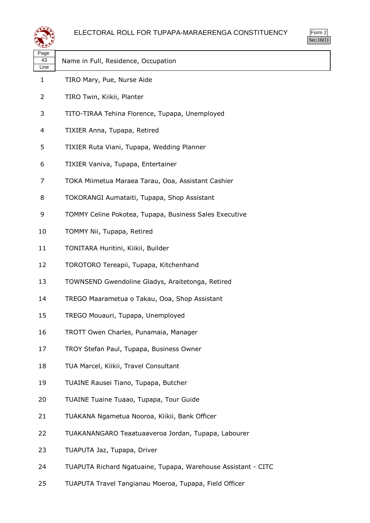

| Page<br>43<br>Line | Name in Full, Residence, Occupation                           |
|--------------------|---------------------------------------------------------------|
| 1                  | TIRO Mary, Pue, Nurse Aide                                    |
| 2                  | TIRO Twin, Kiikii, Planter                                    |
| 3                  | TITO-TIRAA Tehina Florence, Tupapa, Unemployed                |
| 4                  | TIXIER Anna, Tupapa, Retired                                  |
| 5                  | TIXIER Ruta Viani, Tupapa, Wedding Planner                    |
| 6                  | TIXIER Vaniva, Tupapa, Entertainer                            |
| 7                  | TOKA Miimetua Maraea Tarau, Ooa, Assistant Cashier            |
| 8                  | TOKORANGI Aumataiti, Tupapa, Shop Assistant                   |
| 9                  | TOMMY Celine Pokotea, Tupapa, Business Sales Executive        |
| 10                 | TOMMY Nii, Tupapa, Retired                                    |
| 11                 | TONITARA Huritini, Kiikii, Builder                            |
| 12                 | TOROTORO Tereapii, Tupapa, Kitchenhand                        |
| 13                 | TOWNSEND Gwendoline Gladys, Araitetonga, Retired              |
| 14                 | TREGO Maarametua o Takau, Ooa, Shop Assistant                 |
| 15                 | TREGO Mouauri, Tupapa, Unemployed                             |
| 16                 | TROTT Owen Charles, Punamaia, Manager                         |
| 17                 | TROY Stefan Paul, Tupapa, Business Owner                      |
| 18                 | TUA Marcel, Kiikii, Travel Consultant                         |
| 19                 | TUAINE Rausei Tiano, Tupapa, Butcher                          |
| 20                 | TUAINE Tuaine Tuaao, Tupapa, Tour Guide                       |
| 21                 | TUAKANA Ngametua Nooroa, Kiikii, Bank Officer                 |
| 22                 | TUAKANANGARO Teaatuaaveroa Jordan, Tupapa, Labourer           |
| 23                 | TUAPUTA Jaz, Tupapa, Driver                                   |
| 24                 | TUAPUTA Richard Ngatuaine, Tupapa, Warehouse Assistant - CITC |

TUAPUTA Travel Tangianau Moeroa, Tupapa, Field Officer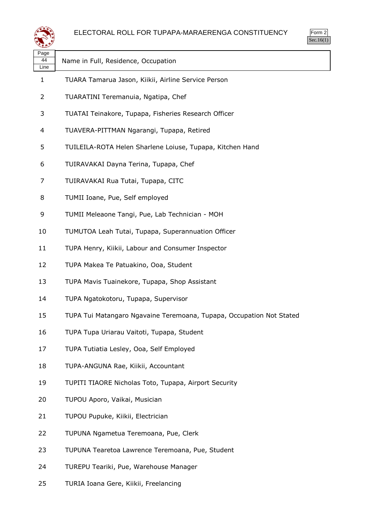



| لترويد             |                                                                      |  |
|--------------------|----------------------------------------------------------------------|--|
| Page<br>44<br>Line | Name in Full, Residence, Occupation                                  |  |
| $\mathbf{1}$       | TUARA Tamarua Jason, Kiikii, Airline Service Person                  |  |
| 2                  | TUARATINI Teremanuia, Ngatipa, Chef                                  |  |
| 3                  | TUATAI Teinakore, Tupapa, Fisheries Research Officer                 |  |
| 4                  | TUAVERA-PITTMAN Ngarangi, Tupapa, Retired                            |  |
| 5                  | TUILEILA-ROTA Helen Sharlene Loiuse, Tupapa, Kitchen Hand            |  |
| 6                  | TUIRAVAKAI Dayna Terina, Tupapa, Chef                                |  |
| 7                  | TUIRAVAKAI Rua Tutai, Tupapa, CITC                                   |  |
| 8                  | TUMII Ioane, Pue, Self employed                                      |  |
| 9                  | TUMII Meleaone Tangi, Pue, Lab Technician - MOH                      |  |
| 10                 | TUMUTOA Leah Tutai, Tupapa, Superannuation Officer                   |  |
| 11                 | TUPA Henry, Kiikii, Labour and Consumer Inspector                    |  |
| 12                 | TUPA Makea Te Patuakino, Ooa, Student                                |  |
| 13                 | TUPA Mavis Tuainekore, Tupapa, Shop Assistant                        |  |
| 14                 | TUPA Ngatokotoru, Tupapa, Supervisor                                 |  |
| 15                 | TUPA Tui Matangaro Ngavaine Teremoana, Tupapa, Occupation Not Stated |  |
| 16                 | TUPA Tupa Uriarau Vaitoti, Tupapa, Student                           |  |
| 17                 | TUPA Tutiatia Lesley, Ooa, Self Employed                             |  |
| 18                 | TUPA-ANGUNA Rae, Kiikii, Accountant                                  |  |
| 19                 | TUPITI TIAORE Nicholas Toto, Tupapa, Airport Security                |  |
| 20                 | TUPOU Aporo, Vaikai, Musician                                        |  |
| 21                 | TUPOU Pupuke, Kiikii, Electrician                                    |  |
| 22                 | TUPUNA Ngametua Teremoana, Pue, Clerk                                |  |
| 23                 | TUPUNA Tearetoa Lawrence Teremoana, Pue, Student                     |  |
| 24                 | TUREPU Teariki, Pue, Warehouse Manager                               |  |
|                    |                                                                      |  |

TURIA Ioana Gere, Kiikii, Freelancing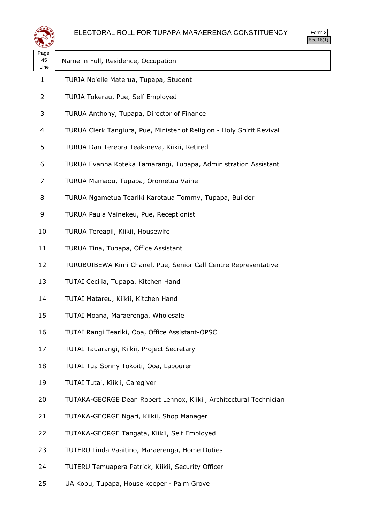

| لتحقيقه            |                                                                       |
|--------------------|-----------------------------------------------------------------------|
| Page<br>45<br>Line | Name in Full, Residence, Occupation                                   |
| 1                  | TURIA No'elle Materua, Tupapa, Student                                |
| 2                  | TURIA Tokerau, Pue, Self Employed                                     |
| 3                  | TURUA Anthony, Tupapa, Director of Finance                            |
| 4                  | TURUA Clerk Tangiura, Pue, Minister of Religion - Holy Spirit Revival |
| 5                  | TURUA Dan Tereora Teakareva, Kiikii, Retired                          |
| 6                  | TURUA Evanna Koteka Tamarangi, Tupapa, Administration Assistant       |
| 7                  | TURUA Mamaou, Tupapa, Orometua Vaine                                  |
| 8                  | TURUA Ngametua Teariki Karotaua Tommy, Tupapa, Builder                |
| 9                  | TURUA Paula Vainekeu, Pue, Receptionist                               |
| 10                 | TURUA Tereapii, Kiikii, Housewife                                     |
| 11                 | TURUA Tina, Tupapa, Office Assistant                                  |
| 12                 | TURUBUIBEWA Kimi Chanel, Pue, Senior Call Centre Representative       |
| 13                 | TUTAI Cecilia, Tupapa, Kitchen Hand                                   |
| 14                 | TUTAI Matareu, Kiikii, Kitchen Hand                                   |
| 15                 | TUTAI Moana, Maraerenga, Wholesale                                    |
| 16                 | TUTAI Rangi Teariki, Ooa, Office Assistant-OPSC                       |
| 17                 | TUTAI Tauarangi, Kiikii, Project Secretary                            |
| 18                 | TUTAI Tua Sonny Tokoiti, Ooa, Labourer                                |
| 19                 | TUTAI Tutai, Kiikii, Caregiver                                        |
| 20                 | TUTAKA-GEORGE Dean Robert Lennox, Kiikii, Architectural Technician    |
| 21                 | TUTAKA-GEORGE Ngari, Kiikii, Shop Manager                             |
| 22                 | TUTAKA-GEORGE Tangata, Kiikii, Self Employed                          |
| 23                 | TUTERU Linda Vaaitino, Maraerenga, Home Duties                        |
| 24                 | TUTERU Temuapera Patrick, Kiikii, Security Officer                    |

UA Kopu, Tupapa, House keeper - Palm Grove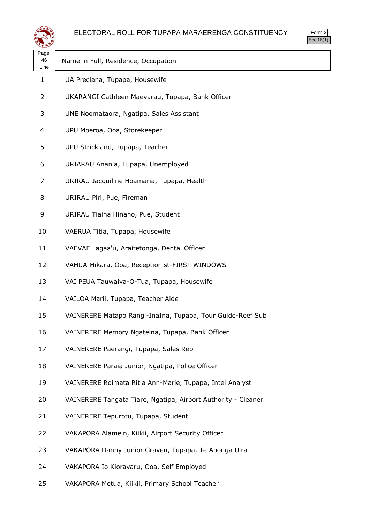



| تشويدهم            |                                                               |
|--------------------|---------------------------------------------------------------|
| Page<br>46<br>Line | Name in Full, Residence, Occupation                           |
| 1                  | UA Preciana, Tupapa, Housewife                                |
| 2                  | UKARANGI Cathleen Maevarau, Tupapa, Bank Officer              |
| 3                  | UNE Noomataora, Ngatipa, Sales Assistant                      |
| 4                  | UPU Moeroa, Ooa, Storekeeper                                  |
| 5                  | UPU Strickland, Tupapa, Teacher                               |
| 6                  | URIARAU Anania, Tupapa, Unemployed                            |
| 7                  | URIRAU Jacquiline Hoamaria, Tupapa, Health                    |
| 8                  | URIRAU Piri, Pue, Fireman                                     |
| 9                  | URIRAU Tiaina Hinano, Pue, Student                            |
| 10                 | VAERUA Titia, Tupapa, Housewife                               |
| 11                 | VAEVAE Lagaa'u, Araitetonga, Dental Officer                   |
| 12                 | VAHUA Mikara, Ooa, Receptionist-FIRST WINDOWS                 |
| 13                 | VAI PEUA Tauwaiva-O-Tua, Tupapa, Housewife                    |
| 14                 | VAILOA Marii, Tupapa, Teacher Aide                            |
| 15                 | VAINERERE Matapo Rangi-InaIna, Tupapa, Tour Guide-Reef Sub    |
| 16                 | VAINERERE Memory Ngateina, Tupapa, Bank Officer               |
| 17                 | VAINERERE Paerangi, Tupapa, Sales Rep                         |
| 18                 | VAINERERE Paraia Junior, Ngatipa, Police Officer              |
| 19                 | VAINERERE Roimata Ritia Ann-Marie, Tupapa, Intel Analyst      |
| 20                 | VAINERERE Tangata Tiare, Ngatipa, Airport Authority - Cleaner |
| 21                 | VAINERERE Tepurotu, Tupapa, Student                           |
| 22                 | VAKAPORA Alamein, Kiikii, Airport Security Officer            |
| 23                 | VAKAPORA Danny Junior Graven, Tupapa, Te Aponga Uira          |
| 24                 | VAKAPORA Io Kioravaru, Ooa, Self Employed                     |

VAKAPORA Metua, Kiikii, Primary School Teacher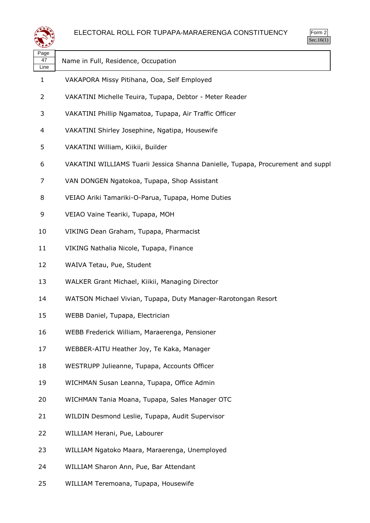

| Page<br>47<br>Line | Name in Full, Residence, Occupation                                             |
|--------------------|---------------------------------------------------------------------------------|
| $\mathbf{1}$       | VAKAPORA Missy Pitihana, Ooa, Self Employed                                     |
| $\overline{2}$     | VAKATINI Michelle Teuira, Tupapa, Debtor - Meter Reader                         |
| 3                  | VAKATINI Phillip Ngamatoa, Tupapa, Air Traffic Officer                          |
| 4                  | VAKATINI Shirley Josephine, Ngatipa, Housewife                                  |
| 5                  | VAKATINI William, Kiikii, Builder                                               |
| 6                  | VAKATINI WILLIAMS Tuarii Jessica Shanna Danielle, Tupapa, Procurement and suppl |
| 7                  | VAN DONGEN Ngatokoa, Tupapa, Shop Assistant                                     |
| 8                  | VEIAO Ariki Tamariki-O-Parua, Tupapa, Home Duties                               |
| 9                  | VEIAO Vaine Teariki, Tupapa, MOH                                                |
| 10                 | VIKING Dean Graham, Tupapa, Pharmacist                                          |
| 11                 | VIKING Nathalia Nicole, Tupapa, Finance                                         |
| 12                 | WAIVA Tetau, Pue, Student                                                       |
| 13                 | WALKER Grant Michael, Kiikii, Managing Director                                 |
| 14                 | WATSON Michael Vivian, Tupapa, Duty Manager-Rarotongan Resort                   |
| 15                 | WEBB Daniel, Tupapa, Electrician                                                |
| 16                 | WEBB Frederick William, Maraerenga, Pensioner                                   |
| 17                 | WEBBER-AITU Heather Joy, Te Kaka, Manager                                       |
| 18                 | WESTRUPP Julieanne, Tupapa, Accounts Officer                                    |
| 19                 | WICHMAN Susan Leanna, Tupapa, Office Admin                                      |
| 20                 | WICHMAN Tania Moana, Tupapa, Sales Manager OTC                                  |
| 21                 | WILDIN Desmond Leslie, Tupapa, Audit Supervisor                                 |
| 22                 | WILLIAM Herani, Pue, Labourer                                                   |
| 23                 | WILLIAM Ngatoko Maara, Maraerenga, Unemployed                                   |
| 24                 | WILLIAM Sharon Ann, Pue, Bar Attendant                                          |
| 25                 | WILLIAM Teremoana, Tupapa, Housewife                                            |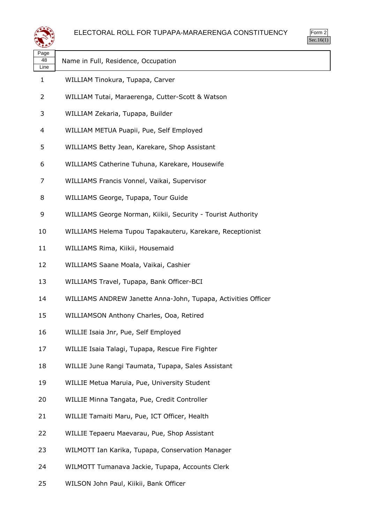

| ag | è |
|----|---|
| 8  |   |

Line

Name in Full, Residence, Occupation

- WILLIAM Tinokura, Tupapa, Carver
- WILLIAM Tutai, Maraerenga, Cutter-Scott & Watson
- WILLIAM Zekaria, Tupapa, Builder
- WILLIAM METUA Puapii, Pue, Self Employed
- WILLIAMS Betty Jean, Karekare, Shop Assistant
- WILLIAMS Catherine Tuhuna, Karekare, Housewife
- WILLIAMS Francis Vonnel, Vaikai, Supervisor
- WILLIAMS George, Tupapa, Tour Guide
- WILLIAMS George Norman, Kiikii, Security Tourist Authority
- WILLIAMS Helema Tupou Tapakauteru, Karekare, Receptionist
- WILLIAMS Rima, Kiikii, Housemaid
- WILLIAMS Saane Moala, Vaikai, Cashier
- WILLIAMS Travel, Tupapa, Bank Officer-BCI
- WILLIAMS ANDREW Janette Anna-John, Tupapa, Activities Officer
- WILLIAMSON Anthony Charles, Ooa, Retired
- WILLIE Isaia Jnr, Pue, Self Employed
- WILLIE Isaia Talagi, Tupapa, Rescue Fire Fighter
- WILLIE June Rangi Taumata, Tupapa, Sales Assistant
- WILLIE Metua Maruia, Pue, University Student
- WILLIE Minna Tangata, Pue, Credit Controller
- WILLIE Tamaiti Maru, Pue, ICT Officer, Health
- WILLIE Tepaeru Maevarau, Pue, Shop Assistant
- WILMOTT Ian Karika, Tupapa, Conservation Manager
- WILMOTT Tumanava Jackie, Tupapa, Accounts Clerk
- WILSON John Paul, Kiikii, Bank Officer